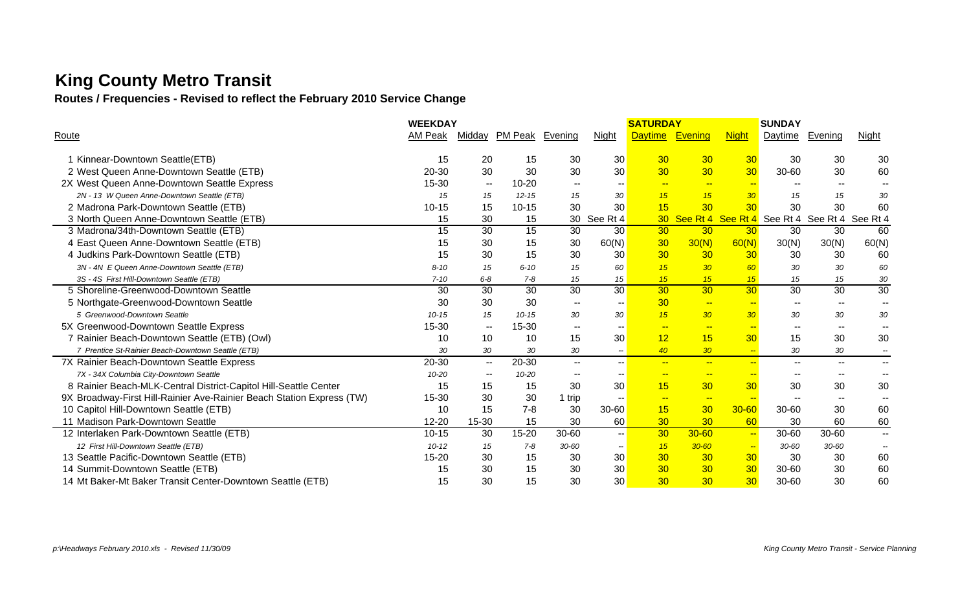# **King County Metro Transit**

**Routes / Frequencies - Revised to reflect the February 2010 Service Change**

|                                                                       | <b>WEEKDAY</b> |                          |                 |                          |                          | <b>SATURDAY</b> |                          |                                            | <b>SUNDAY</b>            |                          |                          |
|-----------------------------------------------------------------------|----------------|--------------------------|-----------------|--------------------------|--------------------------|-----------------|--------------------------|--------------------------------------------|--------------------------|--------------------------|--------------------------|
| Route                                                                 | AM Peak        | Midday                   | PM Peak Evening |                          | <b>Night</b>             | <b>Daytime</b>  | Evening                  | <b>Night</b>                               | Daytime                  | <b>Evening</b>           | <b>Night</b>             |
|                                                                       | 15             | 20                       | 15              |                          | 30                       | 30              | 30                       | 30                                         | 30                       | 30                       | 30                       |
| 1 Kinnear-Downtown Seattle(ETB)                                       |                | 30                       | 30              | 30<br>30                 | 30                       | 30 <sub>o</sub> | 30                       | 30                                         |                          | 30                       | 60                       |
| 2 West Queen Anne-Downtown Seattle (ETB)                              | 20-30          |                          |                 |                          |                          |                 |                          |                                            | 30-60                    |                          |                          |
| 2X West Queen Anne-Downtown Seattle Express                           | $15 - 30$      | $\overline{\phantom{a}}$ | $10 - 20$       | $\overline{\phantom{a}}$ |                          | $\frac{1}{2}$   | $\sim$                   | $-$                                        |                          | --                       |                          |
| 2N - 13 W Queen Anne-Downtown Seattle (ETB)                           | 15             | 15                       | $12 - 15$       | 15                       | 30                       | 15              | 15                       | 30 <sup>°</sup>                            | 15                       | 15                       | 30                       |
| 2 Madrona Park-Downtown Seattle (ETB)                                 | $10 - 15$      | 15                       | $10 - 15$       | 30                       | 30                       | 15              | 30                       | 30                                         | 30                       | 30                       | 60                       |
| 3 North Queen Anne-Downtown Seattle (ETB)                             | 15             | 30                       | 15              | 30                       | See Rt 4                 |                 | 30 See Rt 4 See Rt 4     |                                            | See Rt 4                 | See Rt 4                 | See Rt 4                 |
| 3 Madrona/34th-Downtown Seattle (ETB)                                 | 15             | 30                       | 15              | 30                       | 30                       | 30 <sub>o</sub> | 30                       | 30 <sup>°</sup>                            | 30                       | 30                       | 60                       |
| 4 East Queen Anne-Downtown Seattle (ETB)                              | 15             | 30                       | 15              | 30                       | 60(N)                    | 30              | 30(N)                    | 60(N)                                      | 30(N)                    | 30(N)                    | 60(N)                    |
| 4 Judkins Park-Downtown Seattle (ETB)                                 | 15             | 30                       | 15              | 30                       | 30                       | 30              | 30                       | 30                                         | 30                       | 30                       | 60                       |
| 3N - 4N E Queen Anne-Downtown Seattle (ETB)                           | $8 - 10$       | 15                       | $6 - 10$        | 15                       | 60                       | 15              | 30 <sub>o</sub>          | 60                                         | 30                       | 30                       | 60                       |
| 3S - 4S First Hill-Downtown Seattle (ETB)                             | $7 - 10$       | $6 - 8$                  | $7 - 8$         | 15                       | 15                       | 15              | 15                       | 15                                         | 15                       | 15                       | 30                       |
| 5 Shoreline-Greenwood-Downtown Seattle                                | 30             | 30                       | $\overline{30}$ | $\overline{30}$          | $\overline{30}$          | 30              | $\overline{30}$          | 30                                         | 30                       | 30                       | 30                       |
| 5 Northgate-Greenwood-Downtown Seattle                                | 30             | 30                       | 30              | $-$                      |                          | 30              | $\sim$                   | $\overline{\phantom{a}}$                   | $- -$                    | $\overline{\phantom{a}}$ |                          |
| 5 Greenwood-Downtown Seattle                                          | $10 - 15$      | 15                       | $10 - 15$       | 30                       | 30                       | 15              | 30 <sub>2</sub>          | 30 <sup>°</sup>                            | 30                       | 30                       | 30                       |
| 5X Greenwood-Downtown Seattle Express                                 | 15-30          | $- -$                    | 15-30           | $\sim$ $\sim$            | $\sim$ $\sim$            | $-$             | $\overline{\phantom{a}}$ | $-$                                        | $\overline{\phantom{a}}$ | $\overline{\phantom{a}}$ | $\sim$                   |
| 7 Rainier Beach-Downtown Seattle (ETB) (Owl)                          | 10             | 10                       | 10              | 15                       | 30                       | 12              | 15                       | 30 <sub>o</sub>                            | 15                       | 30                       | 30                       |
| 7 Prentice St-Rainier Beach-Downtown Seattle (ETB)                    | 30             | 30                       | 30              | 30                       | $\overline{\phantom{a}}$ | 40              | 30 <sub>2</sub>          | $\left  \frac{1}{2} \right  = \frac{1}{2}$ | 30                       | 30                       | $\overline{\phantom{a}}$ |
| 7X Rainier Beach-Downtown Seattle Express                             | 20-30          | $\sim$ $\sim$            | 20-30           | $\overline{\phantom{a}}$ | $\sim$                   | $\frac{1}{2}$   | $\sim$                   | $\overline{a}$                             | $\frac{1}{2}$            | $- -$                    | $- -$                    |
| 7X - 34X Columbia City-Downtown Seattle                               | $10 - 20$      | $\overline{\phantom{a}}$ | 10-20           | $\overline{\phantom{a}}$ | $\sim$ $\sim$            | $\rightarrow$   | $\rightarrow$            | $\rightarrow$                              | $\overline{\phantom{a}}$ | $\overline{\phantom{a}}$ | $\overline{\phantom{a}}$ |
| 8 Rainier Beach-MLK-Central District-Capitol Hill-Seattle Center      | 15             | 15                       | 15              | 30                       | 30                       | 15              | 30                       | 30                                         | 30                       | 30                       | 30                       |
| 9X Broadway-First Hill-Rainier Ave-Rainier Beach Station Express (TW) | 15-30          | 30                       | 30              | 1 trip                   | $\sim$                   | $-$             | $-$                      | $-$                                        | $\overline{\phantom{a}}$ | $\sim$ $\sim$            |                          |
| 10 Capitol Hill-Downtown Seattle (ETB)                                | 10             | 15                       | $7 - 8$         | 30                       | $30 - 60$                | 15              | 30                       | $30 - 60$                                  | 30-60                    | 30                       | 60                       |
| 11 Madison Park-Downtown Seattle                                      | $12 - 20$      | 15-30                    | 15              | 30                       | 60                       | 30              | 30                       | 60                                         | 30                       | 60                       | 60                       |
| 12 Interlaken Park-Downtown Seattle (ETB)                             | $10 - 15$      | 30                       | 15-20           | 30-60                    | $\sim$                   | 30              | $30 - 60$                | $\frac{1}{2}$                              | 30-60                    | 30-60                    | $\overline{\phantom{a}}$ |
| 12 First Hill-Downtown Seattle (ETB)                                  | $10 - 12$      | 15                       | $7 - 8$         | $30 - 60$                | $\overline{\phantom{a}}$ | 15              | $30 - 60$                | $\sim$                                     | $30 - 60$                | $30 - 60$                | $\overline{\phantom{a}}$ |
| 13 Seattle Pacific-Downtown Seattle (ETB)                             | $15 - 20$      | 30                       | 15              | 30                       | 30                       | 30              | 30                       | 30                                         | 30                       | 30                       | 60                       |
| 14 Summit-Downtown Seattle (ETB)                                      | 15             | 30                       | 15              | 30                       | 30                       | 30              | 30                       | 30                                         | 30-60                    | 30                       | 60                       |
| 14 Mt Baker-Mt Baker Transit Center-Downtown Seattle (ETB)            | 15             | 30                       | 15              | 30                       | 30                       | 30              | 30                       | 30                                         | 30-60                    | 30                       | 60                       |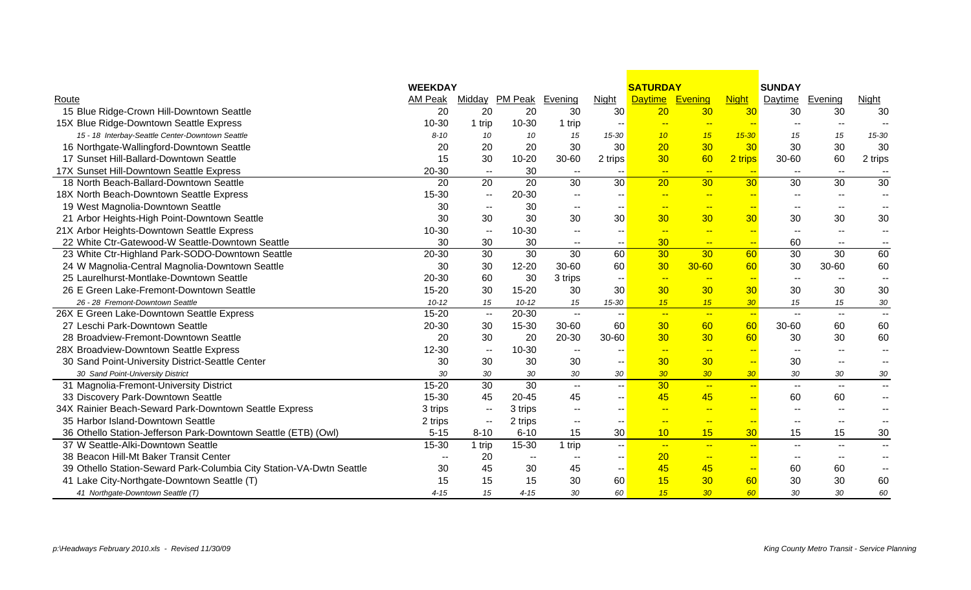|                                                                      | <b>WEEKDAY</b>           |                             |                          |                          |                          | <b>SATURDAY</b> |                          |                          | <b>SUNDAY</b>            |                          |                          |
|----------------------------------------------------------------------|--------------------------|-----------------------------|--------------------------|--------------------------|--------------------------|-----------------|--------------------------|--------------------------|--------------------------|--------------------------|--------------------------|
| Route                                                                | <b>AM Peak</b>           |                             | Midday PM Peak Evening   |                          | <b>Night</b>             | <b>Daytime</b>  | Evening                  | <b>Night</b>             | Daytime                  | Evening                  | <b>Night</b>             |
| 15 Blue Ridge-Crown Hill-Downtown Seattle                            | 20                       | 20                          | 20                       | 30                       | 30                       | 20              | 30                       | 30                       | 30                       | 30                       | 30                       |
| 15X Blue Ridge-Downtown Seattle Express                              | $10 - 30$                | 1 trip                      | 10-30                    | 1 trip                   | $\overline{\phantom{a}}$ | $-$             | $\frac{1}{2}$            | $\sim$                   | $\overline{\phantom{a}}$ | $\overline{\phantom{a}}$ | $\overline{\phantom{a}}$ |
| 15 - 18 Interbay-Seattle Center-Downtown Seattle                     | $8 - 10$                 | 10                          | 10                       | 15                       | 15-30                    | 10 <sup>°</sup> | 15                       | $15 - 30$                | 15                       | 15                       | 15-30                    |
| 16 Northgate-Wallingford-Downtown Seattle                            | 20                       | 20                          | 20                       | 30                       | 30                       | 20              | 30                       | 30                       | 30                       | 30                       | 30                       |
| 17 Sunset Hill-Ballard-Downtown Seattle                              | 15                       | 30                          | $10 - 20$                | 30-60                    | 2 trips                  | 30              | 60                       | 2 trips                  | 30-60                    | 60                       | 2 trips                  |
| 17X Sunset Hill-Downtown Seattle Express                             | 20-30                    | $\sim$ $\sim$               | 30                       | $\mathbf{u}$             |                          | $\frac{1}{2}$   | $\sim$                   | $\sim$                   |                          | $\overline{\phantom{a}}$ | $\overline{\phantom{a}}$ |
| 18 North Beach-Ballard-Downtown Seattle                              | 20                       | 20                          | 20                       | 30                       | 30                       | 20              | 30 <sup>°</sup>          | 30 <sub>o</sub>          | 30                       | 30                       | 30                       |
| 18X North Beach-Downtown Seattle Express                             | 15-30                    | $- -$                       | 20-30                    | $\sim$ $\sim$            |                          | $-$             | $\frac{1}{2}$            | $-$                      | $\overline{\phantom{a}}$ | $\overline{a}$           | $\overline{\phantom{a}}$ |
| 19 West Magnolia-Downtown Seattle                                    | 30                       | $\mathbf{u}$                | 30                       | $\mathbf{u}$             |                          | --              | $-$                      | $\sim$                   | $\sim$                   |                          |                          |
| 21 Arbor Heights-High Point-Downtown Seattle                         | 30                       | 30                          | 30                       | 30                       | 30                       | 30              | 30 <sup>°</sup>          | 30                       | 30                       | 30                       | 30                       |
| 21X Arbor Heights-Downtown Seattle Express                           | $10 - 30$                | $\sim$ $\sim$               | 10-30                    | $\sim$                   | $\overline{\phantom{a}}$ | $\sim$          | $\rightarrow$            | $\overline{\phantom{a}}$ | $\overline{\phantom{a}}$ | $\overline{\phantom{a}}$ | $\overline{\phantom{a}}$ |
| 22 White Ctr-Gatewood-W Seattle-Downtown Seattle                     | 30                       | 30                          | 30                       | $- -$                    | $- -$                    | 30              | $\rightarrow$            | $\rightarrow$            | 60                       | $\overline{\phantom{a}}$ | $\overline{\phantom{a}}$ |
| 23 White Ctr-Highland Park-SODO-Downtown Seattle                     | 20-30                    | 30                          | 30                       | 30                       | 60                       | 30              | 30                       | 60                       | 30                       | 30                       | 60                       |
| 24 W Magnolia-Central Magnolia-Downtown Seattle                      | 30                       | 30                          | $12 - 20$                | 30-60                    | 60                       | 30              | $30 - 60$                | 60                       | 30                       | 30-60                    | 60                       |
| 25 Laurelhurst-Montlake-Downtown Seattle                             | 20-30                    | 60                          | 30                       | 3 trips                  | $\overline{\phantom{a}}$ | $\sim$          | $\rightarrow$            | $\overline{\phantom{a}}$ | $\overline{\phantom{a}}$ | $\overline{\phantom{a}}$ | $\overline{\phantom{a}}$ |
| 26 E Green Lake-Fremont-Downtown Seattle                             | $15 - 20$                | 30                          | $15 - 20$                | 30                       | 30                       | 30              | 30 <sub>o</sub>          | 30                       | 30                       | 30                       | 30                       |
| 26 - 28 Fremont-Downtown Seattle                                     | $10 - 12$                | 15                          | $10 - 12$                | 15                       | 15-30                    | 15              | 15                       | 30 <sub>2</sub>          | 15                       | 15                       | 30                       |
| 26X E Green Lake-Downtown Seattle Express                            | $15 - 20$                | $\mathcal{L}_{\mathcal{F}}$ | 20-30                    | $\sim$                   | -- 1                     | $\sim$          | $\sim$                   | $\overline{\phantom{a}}$ | $\overline{\phantom{a}}$ | $\overline{\phantom{a}}$ | $\overline{\phantom{a}}$ |
| 27 Leschi Park-Downtown Seattle                                      | 20-30                    | 30                          | 15-30                    | $30 - 60$                | 60                       | 30              | 60                       | 60                       | 30-60                    | 60                       | 60                       |
| 28 Broadview-Fremont-Downtown Seattle                                | 20                       | 30                          | 20                       | 20-30                    | 30-60                    | 30              | 30 <sup>°</sup>          | 60                       | 30                       | 30                       | 60                       |
| 28X Broadview-Downtown Seattle Express                               | $12 - 30$                | $\sim$                      | 10-30                    | $\sim$ $-$               | --                       | $\sim$          | $\sim$                   | $\sim$                   | $\overline{\phantom{a}}$ | $\sim$ $\sim$            | $\overline{\phantom{a}}$ |
| 30 Sand Point-University District-Seattle Center                     | 30                       | 30                          | 30                       | 30                       | $\overline{\phantom{a}}$ | 30 <sub>2</sub> | 30 <sub>o</sub>          | $\rightarrow$            | 30                       | $\overline{\phantom{a}}$ | $\overline{\phantom{m}}$ |
| 30 Sand Point-University District                                    | 30                       | 30                          | 30                       | 30                       | 30                       | 30 <sup>°</sup> | 30 <sup>°</sup>          | 30                       | 30                       | 30                       | 30                       |
| 31 Magnolia-Fremont-University District                              | $15 - 20$                | $\overline{30}$             | 30                       | $\sim$ $\sim$            | -- 1                     | 30              | $\overline{\phantom{a}}$ | $\overline{\phantom{a}}$ | $\overline{\phantom{a}}$ | $\sim$ $\sim$            | $-$                      |
| 33 Discovery Park-Downtown Seattle                                   | $15 - 30$                | 45                          | $20 - 45$                | 45                       | $-1$                     | 45              | 45                       | $\rightarrow$            | 60                       | 60                       | н.                       |
| 34X Rainier Beach-Seward Park-Downtown Seattle Express               | 3 trips                  | $\sim$                      | 3 trips                  | $\sim$                   | $\overline{\phantom{a}}$ | $\sim$          | $\frac{1}{2}$            | $\frac{1}{2}$            | $\overline{\phantom{a}}$ | $\overline{\phantom{a}}$ | $\overline{\phantom{a}}$ |
| 35 Harbor Island-Downtown Seattle                                    | 2 trips                  | $\overline{\phantom{a}}$    | 2 trips                  | $\sim$                   |                          | $-$             | $\frac{1}{2}$            | $\frac{1}{2}$            | $\overline{\phantom{a}}$ | $\overline{\phantom{m}}$ | $\overline{\phantom{a}}$ |
| 36 Othello Station-Jefferson Park-Downtown Seattle (ETB) (Owl)       | $5 - 15$                 | $8 - 10$                    | $6 - 10$                 | 15                       | 30 <sup>°</sup>          | 10              | 15                       | 30                       | 15                       | 15                       | 30                       |
| 37 W Seattle-Alki-Downtown Seattle                                   | 15-30                    | 1 trip                      | $15 - 30$                | 1 trip                   | -- 1                     | $-$             | $\overline{a}$           | $-$                      | $\overline{\phantom{a}}$ | $\overline{\phantom{a}}$ | $\overline{\phantom{a}}$ |
| 38 Beacon Hill-Mt Baker Transit Center                               | $\overline{\phantom{a}}$ | 20                          | $\overline{\phantom{m}}$ | $\overline{\phantom{a}}$ | $\overline{\phantom{a}}$ | 20              | $\frac{1}{2}$            | $\rightarrow$            | $\overline{\phantom{a}}$ | $\sim$                   | $\overline{\phantom{a}}$ |
| 39 Othello Station-Seward Park-Columbia City Station-VA-Dwtn Seattle | 30                       | 45                          | 30                       | 45                       | -- 1                     | 45              | 45                       | $\overline{\phantom{a}}$ | 60                       | 60                       | $\overline{\phantom{a}}$ |
| 41 Lake City-Northgate-Downtown Seattle (T)                          | 15                       | 15                          | 15                       | 30                       | 60                       | 15              | 30 <sub>o</sub>          | 60                       | 30                       | 30                       | 60                       |
| 41 Northgate-Downtown Seattle (T)                                    | $4 - 15$                 | 15                          | $4 - 15$                 | 30                       | 60                       | 15              | 30 <sub>2</sub>          | 60                       | 30                       | 30                       | 60                       |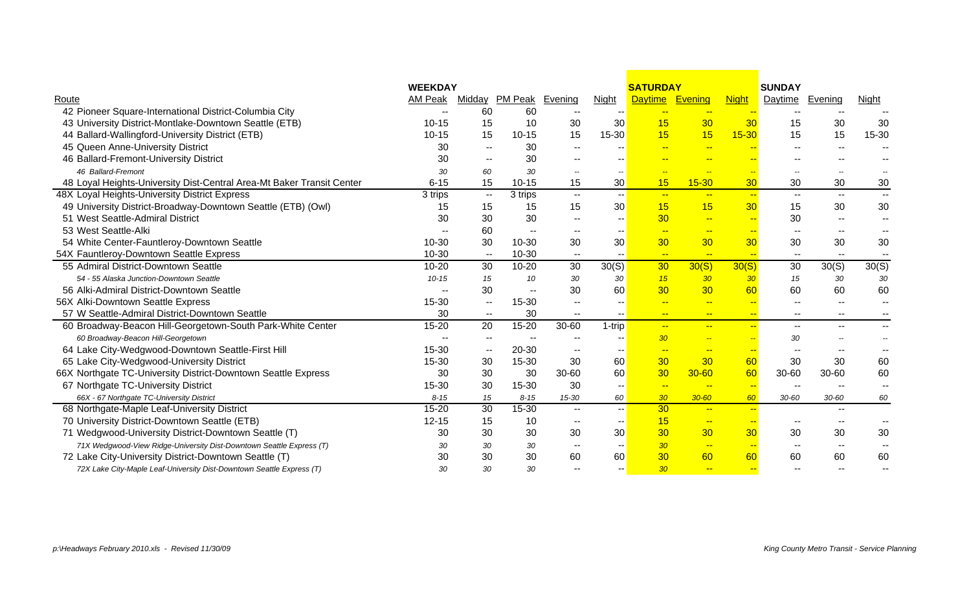|                                                                       | <b>WEEKDAY</b>           |                          |                        |                          |                          | <b>SATURDAY</b>          |                              |                          | <b>SUNDAY</b>            |                          |                          |
|-----------------------------------------------------------------------|--------------------------|--------------------------|------------------------|--------------------------|--------------------------|--------------------------|------------------------------|--------------------------|--------------------------|--------------------------|--------------------------|
| Route                                                                 | AM Peak                  |                          | Midday PM Peak Evening |                          | <b>Night</b>             | Daytime Evening          |                              | <b>Night</b>             | Daytime                  | <b>Evening</b>           | <b>Night</b>             |
| 42 Pioneer Square-International District-Columbia City                | $\overline{\phantom{m}}$ | 60                       | 60                     |                          |                          | $- -$                    |                              |                          |                          |                          |                          |
| 43 University District-Montlake-Downtown Seattle (ETB)                | $10 - 15$                | 15                       | 10                     | 30                       | 30                       | 15                       | 30                           | 30                       | 15                       | 30                       | 30                       |
| 44 Ballard-Wallingford-University District (ETB)                      | $10 - 15$                | 15                       | $10 - 15$              | 15                       | $15-30$                  | 15                       | 15                           | $15 - 30$                | 15                       | 15                       | 15-30                    |
| 45 Queen Anne-University District                                     | 30                       | $\overline{\phantom{m}}$ | 30                     |                          |                          |                          | $-$                          | <u></u>                  |                          | $\overline{\phantom{a}}$ |                          |
| 46 Ballard-Fremont-University District                                | 30                       | $-$                      | 30                     |                          |                          |                          |                              |                          |                          |                          |                          |
| 46 Ballard-Fremont                                                    | 30                       | 60                       | 30                     |                          |                          |                          | <b>Fig.</b>                  | <u>--</u>                |                          |                          |                          |
| 48 Loyal Heights-University Dist-Central Area-Mt Baker Transit Center | $6 - 15$                 | 15                       | $10 - 15$              | 15                       | 30 <sup>°</sup>          | 15                       | $15 - 30$                    | 30                       | 30                       | 30                       | 30                       |
| 48X Loyal Heights-University District Express                         | 3 trips                  | $\sim$ $\sim$            | 3 trips                | $\mathbf{u}$             | $\sim$ $\sim$            | $\sim$                   | $-$                          | $\frac{1}{2}$            | $\overline{\phantom{a}}$ | $\overline{\phantom{a}}$ | $ -$                     |
| 49 University District-Broadway-Downtown Seattle (ETB) (Owl)          | 15                       | 15                       | 15                     | 15                       | 30 <sub>o</sub>          | 15                       | 15                           | 30                       | 15                       | 30                       | 30                       |
| 51 West Seattle-Admiral District                                      | 30                       | 30                       | 30                     | $\sim$ $\sim$            |                          | 30                       | $\left  \frac{1}{2} \right $ | $\overline{\phantom{a}}$ | 30                       | $\overline{\phantom{a}}$ | $\overline{\phantom{a}}$ |
| 53 West Seattle-Alki                                                  |                          | 60                       |                        |                          |                          | $\rightarrow$            | $-$                          | $\rightarrow$            | $\sim$                   |                          |                          |
| 54 White Center-Fauntleroy-Downtown Seattle                           | 10-30                    | 30                       | $10 - 30$              | 30                       | 30                       | 30                       | 30 <sub>o</sub>              | 30                       | 30                       | 30                       | 30                       |
| 54X Fauntleroy-Downtown Seattle Express                               | 10-30                    | $\overline{\phantom{a}}$ | 10-30                  | $- -$                    |                          | $\sim$                   | $\overline{\phantom{a}}$     | $\rightarrow$            | $- -$                    | $\overline{\phantom{a}}$ |                          |
| 55 Admiral District-Downtown Seattle                                  | $10 - 20$                | 30                       | $10 - 20$              | $\overline{30}$          | 30(S)                    | 30                       | 30(S)                        | 30(S)                    | 30                       | 30(S)                    | 30(S)                    |
| 54 - 55 Alaska Junction-Downtown Seattle                              | $10 - 15$                | 15                       | 10                     | 30                       | 30                       | 15                       | 30                           | 30                       | 15                       | 30                       | 30                       |
| 56 Alki-Admiral District-Downtown Seattle                             |                          | 30                       | $\mathbf{u}$           | 30                       | 60                       | 30                       | 30 <sup>°</sup>              | 60                       | 60                       | 60                       | 60                       |
| 56X Alki-Downtown Seattle Express                                     | 15-30                    | --                       | 15-30                  | $\sim$ $\sim$            |                          | $\overline{\phantom{a}}$ | $-$                          | $\rightarrow$            | $\overline{\phantom{a}}$ | $\overline{\phantom{a}}$ |                          |
| 57 W Seattle-Admiral District-Downtown Seattle                        | 30                       | $\mathbf{u}$             | 30                     | $- -$                    | $\overline{\phantom{a}}$ | $- -$                    | $-$                          | $-$                      | $\overline{\phantom{a}}$ | $\overline{\phantom{a}}$ |                          |
| 60 Broadway-Beacon Hill-Georgetown-South Park-White Center            | 15-20                    | 20                       | $15 - 20$              | 30-60                    | $1$ -trip                | $-$                      | $\mathbf{u}$                 | $-$                      | $\overline{\phantom{a}}$ | $-$                      |                          |
| 60 Broadway-Beacon Hill-Georgetown                                    |                          | $-$                      |                        |                          |                          | 30 <sub>o</sub>          | $\overline{\phantom{a}}$     | $\overline{a}$           | 30                       |                          |                          |
| 64 Lake City-Wedgwood-Downtown Seattle-First Hill                     | 15-30                    | --                       | 20-30                  | --                       | $\sim$                   | $-$                      | $-$                          | $-$                      | $\overline{\phantom{m}}$ | $\overline{\phantom{a}}$ |                          |
| 65 Lake City-Wedgwood-University District                             | 15-30                    | 30                       | 15-30                  | 30                       | 60                       | 30                       | 30                           | 60                       | 30                       | 30                       | 60                       |
| 66X Northgate TC-University District-Downtown Seattle Express         | 30                       | 30                       | 30                     | 30-60                    | 60                       | 30                       | $30 - 60$                    | 60                       | 30-60                    | 30-60                    | 60                       |
| 67 Northgate TC-University District                                   | 15-30                    | 30                       | 15-30                  | 30                       | $\sim$                   | $\overline{\phantom{a}}$ | <u>на</u>                    | $\sim$                   | $\overline{\phantom{a}}$ |                          | $\overline{\phantom{a}}$ |
| 66X - 67 Northgate TC-University District                             | $8 - 15$                 | 15                       | $8 - 15$               | 15-30                    | 60                       | 30                       | $30 - 60$                    | 60                       | $30 - 60$                | $30 - 60$                | 60                       |
| 68 Northgate-Maple Leaf-University District                           | $15 - 20$                | $\overline{30}$          | $15 - 30$              | $- -$                    | $\mathbf{u}$             | $\overline{30}$          | $-$                          | $\sim$                   |                          | $-$                      |                          |
| 70 University District-Downtown Seattle (ETB)                         | $12 - 15$                | 15                       | 10                     | $\sim$ $\sim$            | $\sim$ $\sim$            | 15                       | $\frac{1}{2}$                | $\frac{1}{2}$            | $\overline{a}$           | $-$                      |                          |
| 71 Wedgwood-University District-Downtown Seattle (T)                  | 30                       | 30                       | 30                     | 30                       | 30                       | 30                       | 30                           | 30                       | 30                       | 30                       | 30                       |
| 71X Wedgwood-View Ridge-University Dist-Downtown Seattle Express (T)  | 30                       | 30                       | 30                     | $\overline{\phantom{a}}$ | $\sim$                   | 30 <sub>o</sub>          | $-$                          | $-$                      | $\sim$ $\sim$            | $\overline{\phantom{a}}$ |                          |
| 72 Lake City-University District-Downtown Seattle (T)                 | 30                       | 30                       | 30                     | 60                       | 60                       | 30                       | 60                           | 60                       | 60                       | 60                       | 60                       |
| 72X Lake City-Maple Leaf-University Dist-Downtown Seattle Express (T) | 30                       | 30                       | 30                     |                          |                          | 30 <sub>o</sub>          | $-$                          | $-$                      |                          |                          |                          |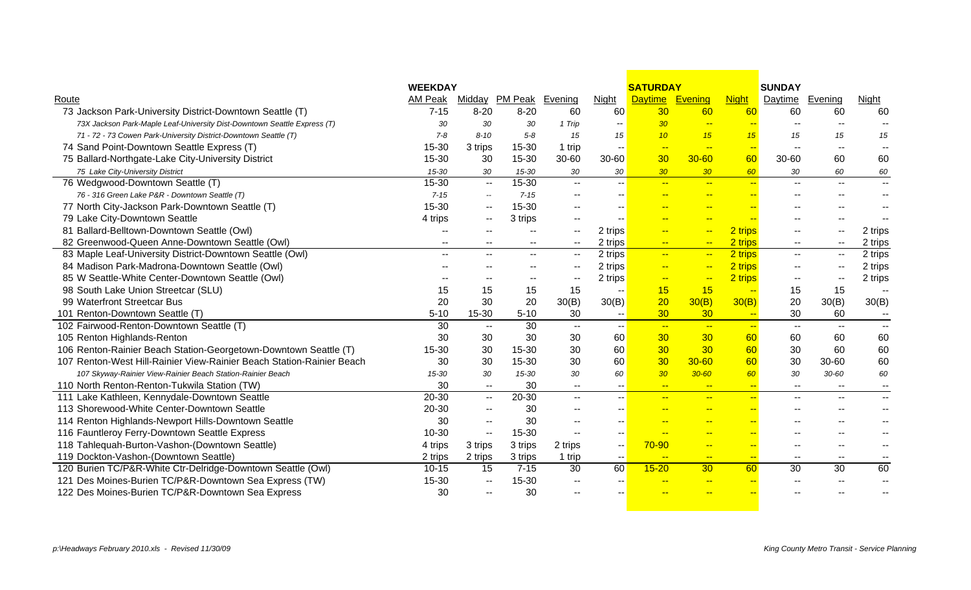|                                                                          | <b>WEEKDAY</b> |                          |                          |                          |                          | <b>SATURDAY</b>          |                          |                          | <b>SUNDAY</b>            |                          |                          |
|--------------------------------------------------------------------------|----------------|--------------------------|--------------------------|--------------------------|--------------------------|--------------------------|--------------------------|--------------------------|--------------------------|--------------------------|--------------------------|
| Route                                                                    | AM Peak        |                          | Midday PM Peak Evening   |                          | Night                    | <b>Daytime</b>           | Evening                  | <b>Night</b>             | Daytime                  | Evening                  | Night                    |
| 73 Jackson Park-University District-Downtown Seattle (T)                 | $7 - 15$       | $8 - 20$                 | $8 - 20$                 | 60                       | 60                       | 30                       | 60                       | 60                       | 60                       | 60                       | 60                       |
| 73X Jackson Park-Maple Leaf-University Dist-Downtown Seattle Express (T) | 30             | 30                       | 30                       | 1 Trip                   | $\overline{\phantom{m}}$ | 30 <sub>o</sub>          | $\sim$                   | $\rightarrow$            | $\sim$                   | $-1$                     | $\overline{\phantom{a}}$ |
| 71 - 72 - 73 Cowen Park-University District-Downtown Seattle (T)         | $7 - 8$        | $8 - 10$                 | $5 - 8$                  | 15                       | 15                       | 10                       | 15                       | 15                       | 15                       | 15                       | 15                       |
| 74 Sand Point-Downtown Seattle Express (T)                               | 15-30          | 3 trips                  | 15-30                    | 1 trip                   | $\mathbf{u}$             | $\sim$                   | $\overline{\phantom{a}}$ | $\sim$                   | $\overline{\phantom{a}}$ | $\overline{\phantom{a}}$ |                          |
| 75 Ballard-Northgate-Lake City-University District                       | 15-30          | 30                       | 15-30                    | 30-60                    | $30 - 60$                | 30                       | $30 - 60$                | 60                       | 30-60                    | 60                       | 60                       |
| 75 Lake City-University District                                         | 15-30          | 30                       | 15-30                    | 30                       | 30                       | 30 <sub>2</sub>          | 30 <sub>2</sub>          | 60                       | 30                       | 60                       | 60                       |
| 76 Wedgwood-Downtown Seattle (T)                                         | 15-30          | $\sim$ $\sim$            | 15-30                    | $-$                      | $\overline{\phantom{a}}$ | $\frac{1}{2}$            | $-$                      | $\leftarrow$             | $\overline{\phantom{a}}$ | $\overline{\phantom{a}}$ | $\sim$                   |
| 76 - 316 Green Lake P&R - Downtown Seattle (T)                           | $7 - 15$       | $\overline{\phantom{a}}$ | $7 - 15$                 |                          |                          | $-$                      | $\overline{a}$           | $\overline{\phantom{a}}$ |                          |                          | $-$                      |
| 77 North City-Jackson Park-Downtown Seattle (T)                          | 15-30          | $\sim$ $\sim$            | 15-30                    | $\overline{\phantom{a}}$ |                          | $\overline{\phantom{a}}$ | $-$                      | $-$                      |                          |                          |                          |
| 79 Lake City-Downtown Seattle                                            | 4 trips        | $\overline{\phantom{a}}$ | 3 trips                  |                          |                          |                          | $\overline{a}$           |                          |                          |                          |                          |
| 81 Ballard-Belltown-Downtown Seattle (Owl)                               |                |                          |                          | $\overline{a}$           | 2 trips                  | $\rightarrow$            | $\overline{a}$           | 2 trips                  |                          | $\overline{\phantom{a}}$ | 2 trips                  |
| 82 Greenwood-Queen Anne-Downtown Seattle (Owl)                           | --             |                          | $\sim$                   | $\overline{\phantom{a}}$ | 2 trips                  | $-$                      | $\frac{1}{2}$            | 2 trips                  | $\overline{\phantom{a}}$ | $\overline{\phantom{a}}$ | 2 trips                  |
| 83 Maple Leaf-University District-Downtown Seattle (Owl)                 | $\overline{a}$ |                          | $\sim$                   | $\mathbf{u}$             | 2 trips                  | $\frac{1}{2}$            | $\overline{a}$           | 2 trips                  | $\overline{\phantom{a}}$ | $\overline{\phantom{a}}$ | 2 trips                  |
| 84 Madison Park-Madrona-Downtown Seattle (Owl)                           |                |                          | $- -$                    | $\overline{\phantom{m}}$ | 2 trips                  | $-$                      | $-$                      | 2 trips                  | $\overline{a}$           | $\qquad \qquad \cdots$   | 2 trips                  |
| 85 W Seattle-White Center-Downtown Seattle (Owl)                         |                | $-$                      | $\overline{\phantom{a}}$ | $\mathbf{u}$             | 2 trips                  | $-$                      | $\overline{\phantom{a}}$ | 2 trips                  | $\overline{\phantom{a}}$ | $\overline{\phantom{a}}$ | 2 trips                  |
| 98 South Lake Union Streetcar (SLU)                                      | 15             | 15                       | 15                       | 15                       |                          | 15                       | 15                       | $\overline{\phantom{a}}$ | 15                       | 15                       |                          |
| 99 Waterfront Streetcar Bus                                              | 20             | 30                       | 20                       | 30(B)                    | 30(B)                    | 20                       | 30(B)                    | 30(B)                    | 20                       | 30(B)                    | 30(B)                    |
| 101 Renton-Downtown Seattle (T)                                          | $5 - 10$       | 15-30                    | $5 - 10$                 | 30                       |                          | 30                       | 30 <sup>°</sup>          | $\sim$                   | 30                       | 60                       | $\sim$                   |
| 102 Fairwood-Renton-Downtown Seattle (T)                                 | 30             | $\sim$                   | 30                       | $\sim$                   | $- -$                    | $\frac{1}{2}$            | $\sim$                   | $-$                      | $\overline{\phantom{a}}$ | $\overline{\phantom{a}}$ | $\sim$                   |
| 105 Renton Highlands-Renton                                              | 30             | 30                       | 30                       | 30                       | 60                       | 30                       | 30 <sub>o</sub>          | 60                       | 60                       | 60                       | 60                       |
| 106 Renton-Rainier Beach Station-Georgetown-Downtown Seattle (T)         | 15-30          | 30                       | 15-30                    | 30                       | 60                       | 30                       | 30                       | 60                       | 30                       | 60                       | 60                       |
| 107 Renton-West Hill-Rainier View-Rainier Beach Station-Rainier Beach    | 30             | 30                       | 15-30                    | 30                       | 60                       | 30                       | $30 - 60$                | 60                       | 30                       | 30-60                    | 60                       |
| 107 Skyway-Rainier View-Rainier Beach Station-Rainier Beach              | 15-30          | 30                       | 15-30                    | 30                       | 60                       | 30 <sub>2</sub>          | $30 - 60$                | 60                       | 30                       | $30 - 60$                | 60                       |
| 110 North Renton-Renton-Tukwila Station (TW)                             | 30             | $\sim$                   | 30                       | $-$                      | $\sim$                   | $\frac{1}{2}$            | $\frac{1}{2}$            | $-$                      | $\sim$                   | $\overline{\phantom{a}}$ | $- -$                    |
| 111 Lake Kathleen, Kennydale-Downtown Seattle                            | $20 - 30$      | $\sim$ $\sim$            | 20-30                    | $- -$                    | $\overline{\phantom{a}}$ | $\frac{1}{2}$            | $-$                      | $-$                      | $\overline{\phantom{a}}$ | $\overline{\phantom{a}}$ | $-$                      |
| 113 Shorewood-White Center-Downtown Seattle                              | 20-30          | $\overline{\phantom{a}}$ | 30                       |                          |                          | $-$                      | $-$                      | $-$                      |                          |                          |                          |
| 114 Renton Highlands-Newport Hills-Downtown Seattle                      | 30             | $\overline{\phantom{a}}$ | 30                       |                          |                          | <b>College</b>           | $-$                      | $-$                      |                          |                          |                          |
| 116 Fauntleroy Ferry-Downtown Seattle Express                            | 10-30          | $\mathbf{L}$             | 15-30                    |                          |                          |                          | $-$                      | $-$                      |                          |                          |                          |
| 118 Tahlequah-Burton-Vashon-(Downtown Seattle)                           | 4 trips        | 3 trips                  | 3 trips                  | 2 trips                  | $- -$                    | 70-90                    | $-$                      | $\rightarrow$            | $-$                      | $-$                      |                          |
| 119 Dockton-Vashon-(Downtown Seattle)                                    | 2 trips        | 2 trips                  | 3 trips                  | 1 trip                   | $\sim$                   | $\frac{1}{2}$            | $-$                      | $\frac{1}{2}$            | $\mathbf{u}$             | $\overline{\phantom{a}}$ | $\overline{\phantom{a}}$ |
| 120 Burien TC/P&R-White Ctr-Delridge-Downtown Seattle (Owl)              | $10 - 15$      | 15                       | $7 - 15$                 | 30                       | 60                       | $15 - 20$                | 30 <sup>°</sup>          | 60                       | 30                       | 30                       | 60                       |
| 121 Des Moines-Burien TC/P&R-Downtown Sea Express (TW)                   | 15-30          | $\mathbf{u}$             | 15-30                    |                          |                          | <b>A</b>                 | --                       | <b>A</b>                 |                          |                          |                          |
| 122 Des Moines-Burien TC/P&R-Downtown Sea Express                        | 30             |                          | 30                       |                          |                          |                          |                          |                          |                          |                          |                          |
|                                                                          |                |                          |                          |                          |                          |                          |                          |                          |                          |                          |                          |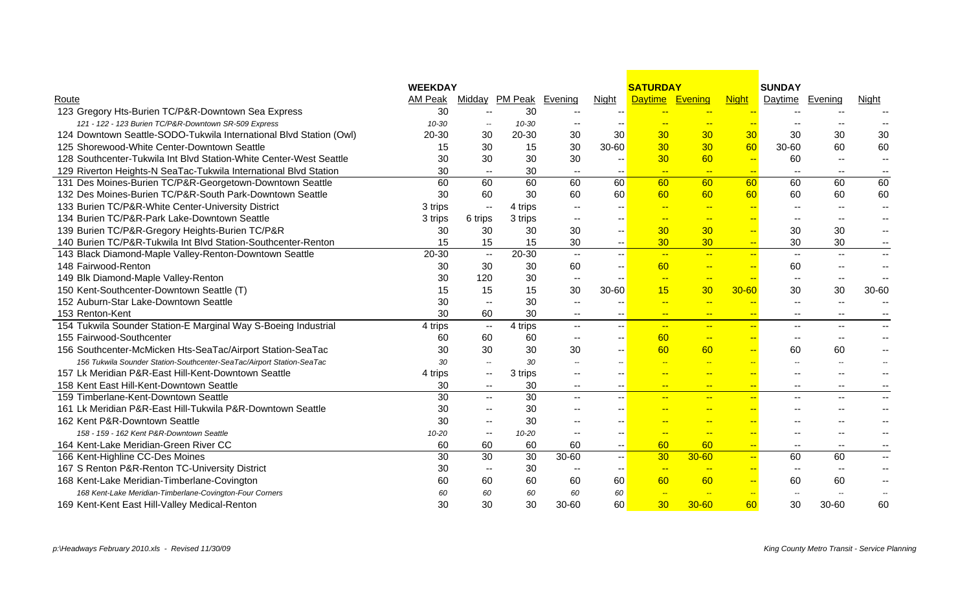|                                                                       | <b>WEEKDAY</b> |                                               |                        |                          |                   | <b>SATURDAY</b>          |                          |                          | <b>SUNDAY</b>            |                          |                          |
|-----------------------------------------------------------------------|----------------|-----------------------------------------------|------------------------|--------------------------|-------------------|--------------------------|--------------------------|--------------------------|--------------------------|--------------------------|--------------------------|
| Route                                                                 | AM Peak        |                                               | Midday PM Peak Evening |                          | <b>Night</b>      | <b>Daytime</b>           | Evening                  | <b>Night</b>             | <b>Daytime</b>           | Evening                  | <u>Night</u>             |
| 123 Gregory Hts-Burien TC/P&R-Downtown Sea Express                    | 30             | $\overline{\phantom{a}}$                      | 30                     | $\sim$ $\sim$            |                   | $-$                      | $-$                      |                          | --                       |                          |                          |
| 121 - 122 - 123 Burien TC/P&R-Downtown SR-509 Express                 | 10-30          | $\overline{\phantom{a}}$                      | 10-30                  | $\overline{\phantom{a}}$ |                   |                          |                          |                          |                          |                          |                          |
| 124 Downtown Seattle-SODO-Tukwila International Blvd Station (Owl)    | 20-30          | 30                                            | 20-30                  | 30                       | 30                | 30                       | 30                       | 30                       | 30                       | 30                       | 30                       |
| 125 Shorewood-White Center-Downtown Seattle                           | 15             | 30                                            | 15                     | 30                       | 30-60             | 30                       | 30                       | 60                       | 30-60                    | 60                       | 60                       |
| 128 Southcenter-Tukwila Int Blvd Station-White Center-West Seattle    | 30             | 30                                            | 30                     | 30                       | --                | 30                       | 60                       | $\overline{\phantom{a}}$ | 60                       | $\overline{\phantom{a}}$ | $\overline{\phantom{m}}$ |
| 129 Riverton Heights-N SeaTac-Tukwila International Blvd Station      | 30             | $\overline{\phantom{a}}$                      | 30                     | $\sim$                   | $--$              | $\sim$                   | $\sim$                   | $\sim$                   | $\overline{\phantom{a}}$ | $\overline{\phantom{a}}$ | $\overline{\phantom{m}}$ |
| 131 Des Moines-Burien TC/P&R-Georgetown-Downtown Seattle              | 60             | 60                                            | 60                     | 60                       | 60                | 60                       | 60                       | 60                       | 60                       | 60                       | 60                       |
| 132 Des Moines-Burien TC/P&R-South Park-Downtown Seattle              | 30             | 60                                            | 30                     | 60                       | 60                | 60                       | 60                       | 60                       | 60                       | 60                       | 60                       |
| 133 Burien TC/P&R-White Center-University District                    | 3 trips        | --                                            | 4 trips                | $\overline{\phantom{a}}$ |                   | $\sim$                   | $\frac{1}{2}$            | $\overline{\phantom{m}}$ | --                       | $\sim$                   | $\overline{\phantom{a}}$ |
| 134 Burien TC/P&R-Park Lake-Downtown Seattle                          | 3 trips        | 6 trips                                       | 3 trips                | $\overline{\phantom{a}}$ | --                | $-$                      | $\rightarrow$            | $\overline{\phantom{m}}$ | --                       | $\overline{\phantom{a}}$ |                          |
| 139 Burien TC/P&R-Gregory Heights-Burien TC/P&R                       | 30             | 30                                            | 30                     | 30                       | -- 1              | 30                       | 30                       | $\overline{\phantom{a}}$ | 30                       | 30                       |                          |
| 140 Burien TC/P&R-Tukwila Int Blvd Station-Southcenter-Renton         | 15             | 15                                            | 15                     | 30                       | -- 1              | 30                       | 30                       | $\rightarrow$            | 30                       | 30                       |                          |
| 143 Black Diamond-Maple Valley-Renton-Downtown Seattle                | 20-30          | $\sim$                                        | 20-30                  | $\sim$ $\sim$            | -- I              | $\sim$                   | $\rightarrow$            | $\overline{a}$           | $\mathbf{u}$             | $\mathbf{H}$             |                          |
| 148 Fairwood-Renton                                                   | 30             | 30                                            | 30                     | 60                       | -- 1              | 60                       | $-$                      | $\rightarrow$            | 60                       |                          |                          |
| 149 Blk Diamond-Maple Valley-Renton                                   | 30             | 120                                           | 30                     | $\sim$                   |                   | $\sim$                   | $\frac{1}{2}$            | $\rightarrow$            | $\overline{\phantom{a}}$ | $\overline{\phantom{a}}$ | $\overline{\phantom{a}}$ |
| 150 Kent-Southcenter-Downtown Seattle (T)                             | 15             | 15                                            | 15                     | 30                       | $30 - 60$         | 15                       | 30                       | $30 - 60$                | 30                       | 30                       | 30-60                    |
| 152 Auburn-Star Lake-Downtown Seattle                                 | 30             | --                                            | 30                     | $\sim$                   |                   | $-$                      | $\rightarrow$            | $\overline{\phantom{a}}$ | $\overline{\phantom{m}}$ | $\overline{\phantom{a}}$ |                          |
| 153 Renton-Kent                                                       | 30             | 60                                            | 30                     | $- -$                    |                   | $-$                      | $-$                      | $-$                      | --                       | $\sim$ $\sim$            |                          |
| 154 Tukwila Sounder Station-E Marginal Way S-Boeing Industrial        | 4 trips        | $\mathcal{L}_{\mathcal{P}}$                   | 4 trips                | $\sim$                   | -- <mark>1</mark> | $\sim$                   | $\sim$                   | $\overline{\phantom{a}}$ | --                       | $\overline{\phantom{a}}$ |                          |
| 155 Fairwood-Southcenter                                              | 60             | 60                                            | 60                     | $\sim$                   |                   | 60                       | $-$                      | $-$                      | $\overline{\phantom{m}}$ | $\overline{\phantom{m}}$ |                          |
| 156 Southcenter-McMicken Hts-SeaTac/Airport Station-SeaTac            | 30             | 30                                            | 30                     | 30                       | $-1$              | 60                       | 60                       | $\overline{\phantom{a}}$ | 60                       | 60                       |                          |
| 156 Tukwila Sounder Station-Southcenter-SeaTac/Airport Station-SeaTac | 30             | $\mathord{\hspace{1pt}\text{--}\hspace{1pt}}$ | 30                     | $\overline{\phantom{a}}$ |                   | $\sim$                   | $\sim$                   | $\overline{\phantom{a}}$ | $\overline{\phantom{a}}$ | $\overline{\phantom{a}}$ |                          |
| 157 Lk Meridian P&R-East Hill-Kent-Downtown Seattle                   | 4 trips        | --                                            | 3 trips                | --                       | -- 1              | <b>Fig.</b>              | $-$                      | $\overline{\phantom{a}}$ | --                       | --                       |                          |
| 158 Kent East Hill-Kent-Downtown Seattle                              | 30             | $\sim$ $-$                                    | 30                     | $\overline{\phantom{a}}$ | $--$              | $-$                      | $\frac{1}{2}$            | $\frac{1}{2}$            | $\overline{\phantom{a}}$ | $\overline{\phantom{a}}$ |                          |
| 159 Timberlane-Kent-Downtown Seattle                                  | 30             | $\mathbf{u}$                                  | 30                     | $\mathbf{u}$             | -- I              | $-$                      | $-$                      | $-$                      | --                       | $\overline{\phantom{a}}$ | $\mathbf{u}$             |
| 161 Lk Meridian P&R-East Hill-Tukwila P&R-Downtown Seattle            | 30             | --                                            | 30                     | $-$                      | $-$               |                          | $\rightarrow$            | $\overline{\phantom{a}}$ | $-$                      |                          |                          |
| 162 Kent P&R-Downtown Seattle                                         | 30             | --                                            | 30                     | $\sim$ $\sim$            | $-$               | <b>Page</b>              | $\overline{\phantom{a}}$ | $-$                      | $-$                      |                          |                          |
| 158 - 159 - 162 Kent P&R-Downtown Seattle                             | 10-20          | --                                            | $10 - 20$              | $- -$                    | $-$               | $-$                      | $\leftarrow$             | $\rightarrow$            | --                       |                          |                          |
| 164 Kent-Lake Meridian-Green River CC                                 | 60             | 60                                            | 60                     | 60                       | -- 1              | 60                       | 60                       | $-$                      | $\overline{\phantom{a}}$ | $\overline{\phantom{a}}$ |                          |
| 166 Kent-Highline CC-Des Moines                                       | 30             | 30                                            | 30                     | 30-60                    | -- I              | 30                       | $30 - 60$                | $\mathbb{L} \mathbb{L}$  | 60                       | 60                       | $\sim$                   |
| 167 S Renton P&R-Renton TC-University District                        | 30             | $\overline{\phantom{a}}$                      | 30                     | $\mathbf{u}$             | -- 1              | $\sim$                   | $-$                      | $-$                      | $\mathbf{u}$             | $\sim$                   |                          |
| 168 Kent-Lake Meridian-Timberlane-Covington                           | 60             | 60                                            | 60                     | 60                       | 60                | 60                       | 60                       | $\overline{a}$           | 60                       | 60                       |                          |
| 168 Kent-Lake Meridian-Timberlane-Covington-Four Corners              | 60             | 60                                            | 60                     | 60                       | 60                | $\overline{\phantom{a}}$ | $\overline{\phantom{a}}$ | $\overline{\phantom{a}}$ | $\overline{\phantom{a}}$ |                          |                          |
| 169 Kent-Kent East Hill-Valley Medical-Renton                         | 30             | 30                                            | 30                     | 30-60                    | 60                | 30                       | $30 - 60$                | 60                       | 30                       | 30-60                    | 60                       |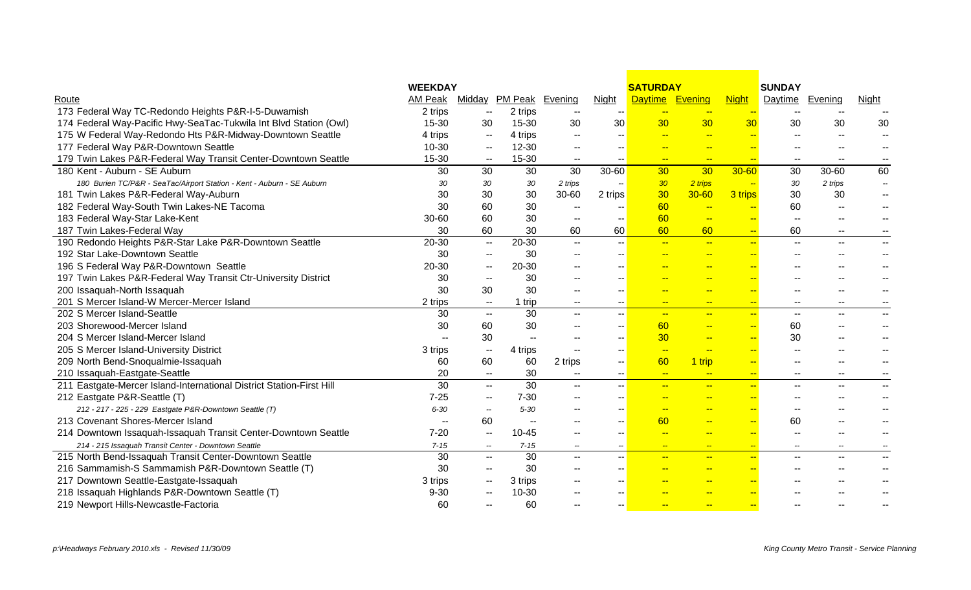|                                                                        | <b>WEEKDAY</b> |                          |                          |                          |                          | <b>SATURDAY</b>          |                          |                          | <b>SUNDAY</b>            |                          |                          |
|------------------------------------------------------------------------|----------------|--------------------------|--------------------------|--------------------------|--------------------------|--------------------------|--------------------------|--------------------------|--------------------------|--------------------------|--------------------------|
| Route                                                                  | AM Peak        |                          | Midday PM Peak Evening   |                          | <b>Night</b>             | <b>Daytime</b>           | Evening                  | <b>Night</b>             | Daytime                  | <b>Evening</b>           | <b>Night</b>             |
| 173 Federal Way TC-Redondo Heights P&R-I-5-Duwamish                    | 2 trips        | $\sim$                   | 2 trips                  | $\overline{\phantom{a}}$ |                          | $-$                      | $-$                      |                          | $\overline{\phantom{a}}$ | $- -$                    |                          |
| 174 Federal Way-Pacific Hwy-SeaTac-Tukwila Int Blvd Station (Owl)      | 15-30          | 30                       | 15-30                    | 30                       | 30                       | 30                       | 30                       | 30                       | 30                       | 30                       | 30                       |
| 175 W Federal Way-Redondo Hts P&R-Midway-Downtown Seattle              | 4 trips        | $\sim$ $-$               | 4 trips                  | $- -$                    | --                       |                          | $\overline{\phantom{a}}$ |                          | --                       | $- -$                    |                          |
| 177 Federal Way P&R-Downtown Seattle                                   | 10-30          | $\sim$ $-$               | $12 - 30$                | $- -$                    | $\overline{\phantom{m}}$ |                          | $-$                      | <u>ж.</u>                |                          | $\overline{\phantom{a}}$ |                          |
| 179 Twin Lakes P&R-Federal Way Transit Center-Downtown Seattle         | 15-30          | $\sim$                   | 15-30                    | --                       | $\sim$ $\sim$            | $-$                      | $-$                      | $\overline{\phantom{a}}$ | $\overline{\phantom{a}}$ | $\sim$ $\sim$            | $\overline{\phantom{a}}$ |
| 180 Kent - Auburn - SE Auburn                                          | 30             | 30                       | 30                       | 30                       | $30 - 60$                | 30                       | 30                       | $30 - 60$                | 30                       | 30-60                    | 60                       |
| 180 Burien TC/P&R - SeaTac/Airport Station - Kent - Auburn - SE Auburn | 30             | 30                       | 30                       | 2 trips                  | $\overline{\phantom{a}}$ | 30 <sub>2</sub>          | 2 trips                  | $\rightarrow$            | 30                       | 2 trips                  | $\overline{\phantom{a}}$ |
| 181 Twin Lakes P&R-Federal Way-Auburn                                  | 30             | 30                       | 30                       | 30-60                    | 2 trips                  | 30                       | $30 - 60$                | 3 trips                  | 30                       | 30                       | $\overline{\phantom{a}}$ |
| 182 Federal Way-South Twin Lakes-NE Tacoma                             | 30             | 60                       | 30                       | $\overline{\phantom{a}}$ | $-$                      | 60                       | $\frac{1}{2}$            | $\overline{\phantom{a}}$ | 60                       | $\overline{\phantom{a}}$ |                          |
| 183 Federal Way-Star Lake-Kent                                         | $30 - 60$      | 60                       | 30                       | $\overline{\phantom{a}}$ |                          | 60                       | $-$                      | $-$                      | $\overline{\phantom{a}}$ | $\overline{\phantom{a}}$ |                          |
| 187 Twin Lakes-Federal Way                                             | 30             | 60                       | 30                       | 60                       | 60                       | 60                       | 60                       | $\overline{\phantom{a}}$ | 60                       | $\overline{\phantom{a}}$ |                          |
| 190 Redondo Heights P&R-Star Lake P&R-Downtown Seattle                 | $20 - 30$      | $\sim$ $\sim$            | 20-30                    | $\sim$                   | -- I                     | $\frac{1}{2}$            | $\frac{1}{2}$            | $\overline{a}$           | $\overline{\phantom{a}}$ | $- -$                    |                          |
| 192 Star Lake-Downtown Seattle                                         | 30             | $\overline{\phantom{a}}$ | 30                       |                          | $-$                      | <b>Fig. 1</b>            | $-$                      | $-$                      | $-$                      | $-$                      |                          |
| 196 S Federal Way P&R-Downtown Seattle                                 | 20-30          | $\sim$                   | 20-30                    |                          | $- -$                    | $\rightarrow$            | $-$                      | $-$                      |                          |                          |                          |
| 197 Twin Lakes P&R-Federal Way Transit Ctr-University District         | 30             | $\overline{\phantom{a}}$ | 30                       |                          | $- -$                    | <b>College</b>           | $\overline{a}$           | $-$                      |                          |                          |                          |
| 200 Issaquah-North Issaquah                                            | 30             | 30                       | 30                       | $\sim$                   | $\sim$ $\sim$            | <b>FAX</b>               | $-$                      | ш.                       |                          | $-$                      |                          |
| 201 S Mercer Island-W Mercer-Mercer Island                             | 2 trips        | $\sim$ $-$               | 1 trip                   |                          | $- -$                    | $-$                      | $-$                      | $-$                      | $- -$                    | $\sim$                   |                          |
| 202 S Mercer Island-Seattle                                            | 30             | $\sim$                   | 30                       | $\sim$                   | -- I                     | $\overline{a}$           | $\overline{a}$           | $\rightarrow$            | $\sim$                   | $\sim$ $\sim$            | $\overline{\phantom{a}}$ |
| 203 Shorewood-Mercer Island                                            | 30             | 60                       | 30                       |                          | $-$                      | 60                       | $-$                      | $\overline{\phantom{a}}$ | 60                       |                          |                          |
| 204 S Mercer Island-Mercer Island                                      |                | 30                       | $\sim$                   |                          | $\sim$ $\sim$            | 30                       | $-$                      | $\overline{\phantom{a}}$ | 30                       |                          |                          |
| 205 S Mercer Island-University District                                | 3 trips        | $\sim$                   | 4 trips                  |                          | $\sim$ $\sim$            | $\sim$                   | $\overline{\phantom{a}}$ | $-$                      | $\sim$                   |                          |                          |
| 209 North Bend-Snoqualmie-Issaquah                                     | 60             | 60                       | 60                       | 2 trips                  | $\sim$                   | 60                       | 1 trip                   | $-$                      | $-$                      | $-$                      |                          |
| 210 Issaquah-Eastgate-Seattle                                          | 20             | $\overline{\phantom{a}}$ | 30                       | $\overline{\phantom{a}}$ | $- -$                    | $\sim$                   | $-$                      | $\frac{1}{2}$            | $-$                      | $- -$                    |                          |
| 211 Eastgate-Mercer Island-International District Station-First Hill   | 30             | $\mathbf{u}$             | 30                       | $\sim$                   |                          | $\overline{a}$           | $-$                      | $\overline{a}$           | $-$                      | $\overline{\phantom{a}}$ | $\overline{\phantom{a}}$ |
| 212 Eastgate P&R-Seattle (T)                                           | $7 - 25$       | $\overline{\phantom{a}}$ | $7 - 30$                 | $- -$                    | $\sim$ $\sim$            | $-$                      | $-$                      | $-$                      | $\sim$ $\sim$            | $- -$                    | $\overline{\phantom{a}}$ |
| 212 - 217 - 225 - 229 Eastgate P&R-Downtown Seattle (T)                | $6 - 30$       | $\overline{\phantom{a}}$ | $5 - 30$                 | $\sim$ $\sim$            | $\sim$ $-$               | $-$                      | $\frac{1}{2}$            | $-$                      | $-$                      | $- -$                    |                          |
| 213 Covenant Shores-Mercer Island                                      | ٠.             | 60                       | $\overline{\phantom{a}}$ | $- -$                    | --                       | 60                       | $-$                      | $\overline{\phantom{a}}$ | 60                       | $\overline{\phantom{a}}$ |                          |
| 214 Downtown Issaquah-Issaquah Transit Center-Downtown Seattle         | $7 - 20$       | $\overline{\phantom{a}}$ | $10 - 45$                |                          | $-$                      | $-$                      | $-$                      | $-$                      | $\overline{\phantom{a}}$ | $-$                      |                          |
| 214 - 215 Issaquah Transit Center - Downtown Seattle                   | $7 - 15$       | $\overline{\phantom{a}}$ | $7 - 15$                 | $\overline{\phantom{a}}$ |                          | $\overline{\phantom{a}}$ | $\sim$                   | $\rightarrow$            | $\overline{\phantom{a}}$ | $\overline{\phantom{a}}$ |                          |
| 215 North Bend-Issaquah Transit Center-Downtown Seattle                | 30             | $\overline{\phantom{a}}$ | 30                       | $\sim$                   | $-$                      | $\sim$                   | $-$                      | $-$                      | $\frac{1}{2}$            | $-1$                     | $-$                      |
| 216 Sammamish-S Sammamish P&R-Downtown Seattle (T)                     | 30             | $\mathbf{u}$             | 30                       | $\sim$                   | $- -$                    | $-$                      | $-$                      | $\overline{\phantom{a}}$ |                          | $-$                      |                          |
| 217 Downtown Seattle-Eastgate-Issaquah                                 | 3 trips        | $\overline{\phantom{a}}$ | 3 trips                  |                          | $- -$                    | $\sim$                   | $-$                      | $-$                      |                          |                          |                          |
| 218 Issaquah Highlands P&R-Downtown Seattle (T)                        | $9 - 30$       | $\overline{a}$           | $10 - 30$                |                          |                          |                          | <b>A</b>                 | $-$                      |                          |                          |                          |
| 219 Newport Hills-Newcastle-Factoria                                   | 60             |                          | 60                       |                          | $-$                      | $-$                      | $-$                      | ш.                       |                          |                          |                          |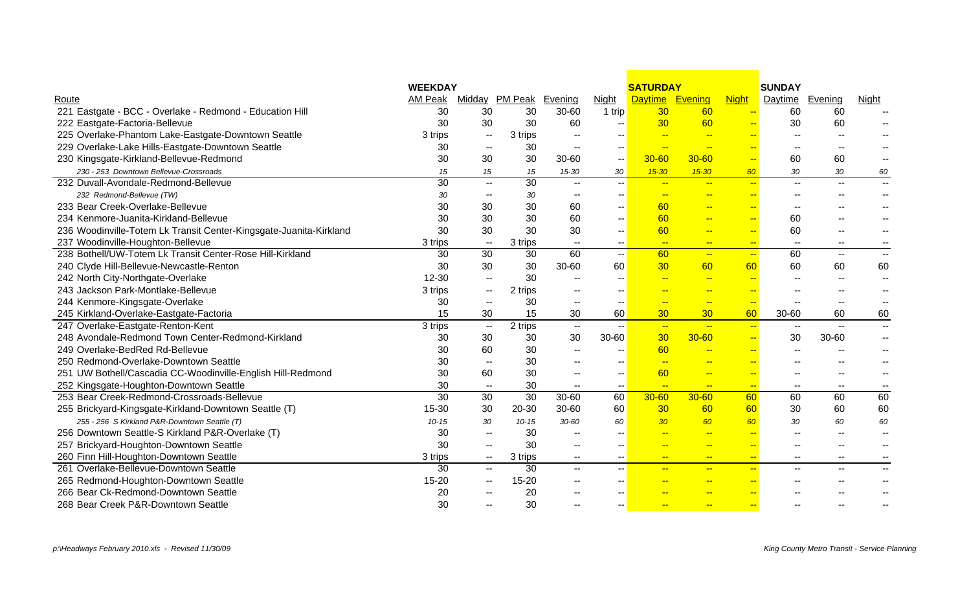|                                                                    | <b>WEEKDAY</b> |                          |                        |                          |                          | <b>SATURDAY</b>          |                          |                          | <b>SUNDAY</b>            |                          |                          |
|--------------------------------------------------------------------|----------------|--------------------------|------------------------|--------------------------|--------------------------|--------------------------|--------------------------|--------------------------|--------------------------|--------------------------|--------------------------|
| Route                                                              | AM Peak        |                          | Midday PM Peak Evening |                          | <b>Night</b>             | <b>Daytime</b>           | Evening                  | <b>Night</b>             | <b>Daytime</b>           | Evening                  | <u>Night</u>             |
| 221 Eastgate - BCC - Overlake - Redmond - Education Hill           | 30             | 30                       | 30                     | 30-60                    | 1 trip                   | 30                       | 60                       | $\overline{\phantom{a}}$ | 60                       | 60                       |                          |
| 222 Eastgate-Factoria-Bellevue                                     | 30             | 30                       | 30                     | 60                       |                          | 30                       | 60                       |                          | 30                       | 60                       |                          |
| 225 Overlake-Phantom Lake-Eastgate-Downtown Seattle                | 3 trips        | $\sim$                   | 3 trips                | $\overline{\phantom{a}}$ | $- -$                    |                          | $\overline{\phantom{a}}$ |                          | --                       |                          |                          |
| 229 Overlake-Lake Hills-Eastgate-Downtown Seattle                  | 30             | $\overline{\phantom{m}}$ | 30                     | $\overline{\phantom{a}}$ | $- -$                    | $\sim$                   | $-$                      |                          | --                       |                          |                          |
| 230 Kingsgate-Kirkland-Bellevue-Redmond                            | 30             | 30                       | 30                     | 30-60                    | $- -$                    | $30 - 60$                | $30 - 60$                | $-$                      | 60                       | 60                       |                          |
| 230 - 253 Downtown Bellevue-Crossroads                             | 15             | 15                       | 15                     | 15-30                    | 30                       | $15 - 30$                | $15 - 30$                | 60                       | 30                       | 30                       | 60                       |
| 232 Duvall-Avondale-Redmond-Bellevue                               | 30             | $\overline{\phantom{a}}$ | 30                     | $\overline{\phantom{a}}$ | $\mathbf{u}$             | $\overline{\phantom{a}}$ | $-$                      | $-$                      | $\overline{\phantom{a}}$ | $\overline{\phantom{a}}$ | $\overline{\phantom{a}}$ |
| 232 Redmond-Bellevue (TW)                                          | 30             | ۰.                       | 30                     | $- -$                    | $\sim$ $\sim$            | <b>1000</b>              | $-$                      | $\overline{\phantom{a}}$ | --                       |                          | --                       |
| 233 Bear Creek-Overlake-Bellevue                                   | 30             | 30                       | 30                     | 60                       | --                       | 60                       | $-$                      | $-$                      | --                       | $-$                      |                          |
| 234 Kenmore-Juanita-Kirkland-Bellevue                              | 30             | 30                       | 30                     | 60                       | н.                       | 60                       | $-$                      | $\overline{\phantom{a}}$ | 60                       | --                       |                          |
| 236 Woodinville-Totem Lk Transit Center-Kingsgate-Juanita-Kirkland | 30             | 30                       | 30                     | 30                       | н.                       | 60                       | $-$                      | $\overline{\phantom{a}}$ | 60                       | --                       |                          |
| 237 Woodinville-Houghton-Bellevue                                  | 3 trips        | $\sim$ $-$               | 3 trips                | $\overline{\phantom{a}}$ | $\sim$ $-$               | $-$                      | $\sim$                   | $-$                      | $\sim$ $-$               | $\overline{\phantom{m}}$ |                          |
| 238 Bothell/UW-Totem Lk Transit Center-Rose Hill-Kirkland          | 30             | 30                       | 30                     | 60                       | -- <mark>1</mark>        | 60                       | $\frac{1}{2}$            | $-$                      | 60                       | $\overline{\phantom{a}}$ | $\sim$                   |
| 240 Clyde Hill-Bellevue-Newcastle-Renton                           | 30             | 30                       | 30                     | 30-60                    | 60                       | 30                       | 60                       | 60                       | 60                       | 60                       | 60                       |
| 242 North City-Northgate-Overlake                                  | 12-30          | $\mathbf{u}$             | 30                     | $-$                      |                          | $\overline{a}$           | $\overline{a}$           | $\overline{\phantom{a}}$ | $\mathbf{u}$             | $\overline{\phantom{a}}$ | $\overline{\phantom{a}}$ |
| 243 Jackson Park-Montlake-Bellevue                                 | 3 trips        | $\sim$ $\sim$            | 2 trips                |                          |                          | --                       | $-$                      | $\overline{\phantom{a}}$ |                          |                          |                          |
| 244 Kenmore-Kingsgate-Overlake                                     | 30             | --                       | 30                     | $\sim$ $\sim$            | --                       | $\rightarrow$            | $-$                      | $\overline{\phantom{a}}$ | $-$                      | $\mathbf{u}$             |                          |
| 245 Kirkland-Overlake-Eastgate-Factoria                            | 15             | 30                       | 15                     | 30                       | 60                       | 30                       | 30 <sub>o</sub>          | 60                       | 30-60                    | 60                       | 60                       |
| 247 Overlake-Eastgate-Renton-Kent                                  | 3 trips        | $\sim$                   | 2 trips                | $\sim$                   | $\mathbf{u}$             | $\frac{1}{2}$            | $-$                      | $\sim$                   | $\mathbf{u}$             | $\overline{\phantom{a}}$ |                          |
| 248 Avondale-Redmond Town Center-Redmond-Kirkland                  | 30             | 30                       | 30                     | 30                       | 30-60                    | 30                       | $30 - 60$                | $-$                      | 30                       | 30-60                    | $\sim$                   |
| 249 Overlake-BedRed Rd-Bellevue                                    | 30             | 60                       | 30                     | $\mathbf{u}$             | $-$                      | 60                       | $-$                      | $\overline{\phantom{a}}$ | $\overline{\phantom{a}}$ |                          |                          |
| 250 Redmond-Overlake-Downtown Seattle                              | 30             | $\overline{\phantom{a}}$ | 30                     |                          | $\sim$ $\sim$            | $\rightarrow$            | $-$                      | $\overline{\phantom{a}}$ |                          |                          |                          |
| 251 UW Bothell/Cascadia CC-Woodinville-English Hill-Redmond        | 30             | 60                       | 30                     | $\sim$                   | $\sim$ $\sim$            | 60                       | $-$                      | $\overline{a}$           | --                       | $-$                      | $- -$                    |
| 252 Kingsgate-Houghton-Downtown Seattle                            | 30             | $\sim$                   | 30                     | $\sim$                   | $\overline{\phantom{a}}$ | $-$                      | $\rightarrow$            | $\rightarrow$            | $\overline{\phantom{a}}$ | $\overline{\phantom{a}}$ | $\overline{\phantom{m}}$ |
| 253 Bear Creek-Redmond-Crossroads-Bellevue                         | 30             | 30                       | $\overline{30}$        | 30-60                    | 60                       | $30 - 60$                | $30 - 60$                | 60                       | 60                       | 60                       | 60                       |
| 255 Brickyard-Kingsgate-Kirkland-Downtown Seattle (T)              | 15-30          | 30                       | 20-30                  | 30-60                    | 60                       | 30                       | 60                       | 60                       | 30                       | 60                       | 60                       |
| 255 - 256 S Kirkland P&R-Downtown Seattle (T)                      | $10 - 15$      | 30                       | $10 - 15$              | $30 - 60$                | 60                       | 30 <sub>2</sub>          | 60                       | 60                       | 30                       | 60                       | 60                       |
| 256 Downtown Seattle-S Kirkland P&R-Overlake (T)                   | 30             | $\overline{\phantom{a}}$ | 30                     | $\overline{\phantom{a}}$ | $\sim$ $\sim$            | $-$                      | $\frac{1}{2}$            | $\overline{\phantom{a}}$ | $-$                      | $\mathbf{u}$             | $\overline{\phantom{a}}$ |
| 257 Brickyard-Houghton-Downtown Seattle                            | 30             | $\overline{\phantom{a}}$ | 30                     | $\overline{\phantom{a}}$ | --                       | $-$                      | $-$                      | $\overline{\phantom{a}}$ | $-$                      |                          |                          |
| 260 Finn Hill-Houghton-Downtown Seattle                            | 3 trips        | $\sim$                   | 3 trips                | $- -$                    | $\sim$                   | $-$                      | $\frac{1}{2}$            | $-$                      | --                       | $\overline{\phantom{a}}$ |                          |
| 261 Overlake-Bellevue-Downtown Seattle                             | 30             | $\overline{\phantom{a}}$ | 30                     | $--$                     | -- I                     | $-$                      | $-$                      | $-$                      | --                       | $\overline{\phantom{a}}$ | $\overline{\phantom{a}}$ |
| 265 Redmond-Houghton-Downtown Seattle                              | 15-20          | --                       | $15 - 20$              |                          | $- -$                    | <b>Fig. 1</b>            | $-$                      | $\overline{a}$           | $-$                      | $-$                      |                          |
| 266 Bear Ck-Redmond-Downtown Seattle                               | 20             |                          | 20                     |                          |                          |                          |                          |                          |                          |                          |                          |
| 268 Bear Creek P&R-Downtown Seattle                                | 30             |                          | 30                     |                          |                          | $-$                      | $\overline{\phantom{a}}$ | $\overline{\phantom{a}}$ |                          |                          |                          |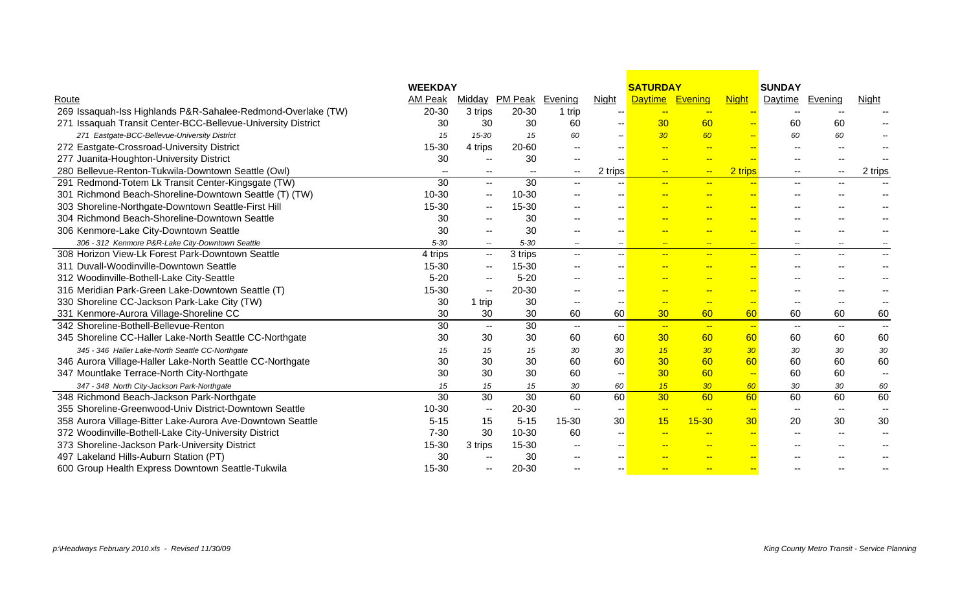|                                                              | <b>WEEKDAY</b>  |                          |                 |                          |                          | <b>SATURDAY</b>          |                          |                          | <b>SUNDAY</b>            |                          |                          |
|--------------------------------------------------------------|-----------------|--------------------------|-----------------|--------------------------|--------------------------|--------------------------|--------------------------|--------------------------|--------------------------|--------------------------|--------------------------|
| Route                                                        | AM Peak         | Midday                   | PM Peak Evening |                          | <b>Night</b>             | Daytime Evening          |                          | <b>Night</b>             | Daytime                  | Evening                  | <b>Night</b>             |
| 269 Issaquah-Iss Highlands P&R-Sahalee-Redmond-Overlake (TW) | 20-30           | 3 trips                  | 20-30           | 1 trip                   |                          | $-$                      | $\overline{\phantom{a}}$ | $\overline{\phantom{a}}$ | $\mathbf{u}$             |                          |                          |
| 271 Issaquah Transit Center-BCC-Bellevue-University District | 30              | 30                       | 30              | 60                       |                          | 30                       | 60                       | $-$                      | 60                       | 60                       |                          |
| 271 Eastgate-BCC-Bellevue-University District                | 15              | 15-30                    | 15              | 60                       |                          | 30                       | 60                       | <b>Fig.</b>              | 60                       | 60                       |                          |
| 272 Eastgate-Crossroad-University District                   | 15-30           | 4 trips                  | 20-60           | $- -$                    |                          | $-$                      | $\overline{a}$           | $\overline{\phantom{a}}$ | $-1$                     | $-1$                     |                          |
| 277 Juanita-Houghton-University District                     | 30              | --                       | 30              | $- -$                    |                          | $-$                      | $\overline{\phantom{a}}$ | <u></u>                  | --                       |                          |                          |
| 280 Bellevue-Renton-Tukwila-Downtown Seattle (Owl)           | $\mathbf{u}$    | --                       | $\sim$          | $\sim$                   | 2 trips                  | $\frac{1}{2}$            | $\mathbf{H}$             | 2 trips                  | --                       | $\overline{\phantom{a}}$ | 2 trips                  |
| 291 Redmond-Totem Lk Transit Center-Kingsgate (TW)           | $\overline{30}$ | н.                       | $\overline{30}$ | $\sim$ $\sim$            |                          | $-$                      | $-$                      |                          | --                       | $\overline{\phantom{a}}$ |                          |
| 301 Richmond Beach-Shoreline-Downtown Seattle (T) (TW)       | $10 - 30$       | $-$                      | 10-30           | $- -$                    |                          |                          | --                       |                          | --                       |                          |                          |
| 303 Shoreline-Northgate-Downtown Seattle-First Hill          | $15 - 30$       | $\overline{a}$           | 15-30           | $\overline{a}$           |                          |                          | --                       | $\overline{\phantom{a}}$ |                          |                          |                          |
| 304 Richmond Beach-Shoreline-Downtown Seattle                | 30              | $\overline{\phantom{a}}$ | 30              |                          |                          | <b>Fig. 1</b>            | $-$                      | $-$                      | --                       |                          |                          |
| 306 Kenmore-Lake City-Downtown Seattle                       | 30              | $\overline{\phantom{a}}$ | 30              |                          |                          |                          |                          |                          |                          |                          |                          |
| 306 - 312 Kenmore P&R-Lake City-Downtown Seattle             | $5 - 30$        | $\overline{\phantom{a}}$ | $5 - 30$        | $- -$                    | $\overline{\phantom{a}}$ | $-$                      | $\frac{1}{2}$            | $\overline{\phantom{a}}$ | $\overline{\phantom{a}}$ | $- -$                    |                          |
| 308 Horizon View-Lk Forest Park-Downtown Seattle             | 4 trips         | --                       | 3 trips         | $-$                      |                          |                          | $\frac{1}{2}$            | $\overline{a}$           | --                       | $\overline{a}$           | $\overline{a}$           |
| 311 Duvall-Woodinville-Downtown Seattle                      | $15 - 30$       | --                       | 15-30           |                          |                          |                          | $\overline{\phantom{a}}$ | Ξ.                       | ۵.                       |                          |                          |
| 312 Woodinville-Bothell-Lake City-Seattle                    | $5 - 20$        | --                       | $5 - 20$        |                          |                          |                          | $\rightarrow$            | ш.                       |                          |                          |                          |
| 316 Meridian Park-Green Lake-Downtown Seattle (T)            | 15-30           | н.                       | 20-30           | $\sim$                   | --                       |                          | --                       | $\overline{\phantom{a}}$ |                          |                          |                          |
| 330 Shoreline CC-Jackson Park-Lake City (TW)                 | 30              | 1 trip                   | 30              | $- -$                    | $- -$                    | $-$                      | $\overline{\phantom{a}}$ | $-$                      | $\overline{\phantom{a}}$ | $-1$                     |                          |
| 331 Kenmore-Aurora Village-Shoreline CC                      | 30              | 30                       | 30              | 60                       | 60                       | 30                       | 60                       | 60                       | 60                       | 60                       | 60                       |
| 342 Shoreline-Bothell-Bellevue-Renton                        | 30              | $\sim$                   | $\overline{30}$ | $\mathbf{u}$             | -- 1                     | $-$                      | $\sim$                   | $\rightarrow$            | $\overline{\phantom{a}}$ | $\sim$ $\sim$            | $\sim$                   |
| 345 Shoreline CC-Haller Lake-North Seattle CC-Northgate      | 30              | 30                       | 30              | 60                       | 60                       | 30                       | 60                       | 60                       | 60                       | 60                       | 60                       |
| 345 - 346 Haller Lake-North Seattle CC-Northgate             | 15              | 15                       | 15              | 30                       | 30                       | 15                       | 30 <sup>°</sup>          | 30                       | 30                       | 30                       | 30                       |
| 346 Aurora Village-Haller Lake-North Seattle CC-Northgate    | 30              | 30                       | 30              | 60                       | 60                       | 30                       | 60                       | 60                       | 60                       | 60                       | 60                       |
| 347 Mountlake Terrace-North City-Northgate                   | 30              | 30                       | 30              | 60                       | $-$                      | 30                       | 60                       | $-$                      | 60                       | 60                       | $\overline{\phantom{a}}$ |
| 347 - 348 North City-Jackson Park-Northgate                  | 15              | 15                       | 15              | 30                       | 60                       | 15                       | 30 <sup>°</sup>          | 60                       | 30                       | 30                       | 60                       |
| 348 Richmond Beach-Jackson Park-Northgate                    | $\overline{30}$ | $\overline{30}$          | $\overline{30}$ | 60                       | 60                       | 30                       | 60                       | 60                       | 60                       | 60                       | 60                       |
| 355 Shoreline-Greenwood-Univ District-Downtown Seattle       | $10 - 30$       | н.                       | 20-30           | $\mathbf{u}$             |                          | $\overline{\phantom{a}}$ | $-$                      | $\sim$                   | $\overline{\phantom{m}}$ | $\overline{\phantom{a}}$ | $\mathbf{u}$             |
| 358 Aurora Village-Bitter Lake-Aurora Ave-Downtown Seattle   | $5 - 15$        | 15                       | $5 - 15$        | $15 - 30$                | 30                       | 15                       | $15 - 30$                | 30                       | 20                       | 30                       | 30                       |
| 372 Woodinville-Bothell-Lake City-University District        | $7 - 30$        | 30                       | 10-30           | 60                       |                          |                          | $\rightarrow$            | $-$                      | $-$                      |                          |                          |
| 373 Shoreline-Jackson Park-University District               | 15-30           | 3 trips                  | 15-30           | $\overline{\phantom{a}}$ |                          |                          | $\overline{\phantom{a}}$ | $\overline{\phantom{a}}$ |                          |                          |                          |
| 497 Lakeland Hills-Auburn Station (PT)                       | 30              | --                       | 30              |                          |                          |                          |                          | ш.                       |                          |                          |                          |
| 600 Group Health Express Downtown Seattle-Tukwila            | 15-30           | --                       | 20-30           |                          |                          |                          | $- -$                    | $\overline{\phantom{a}}$ |                          |                          |                          |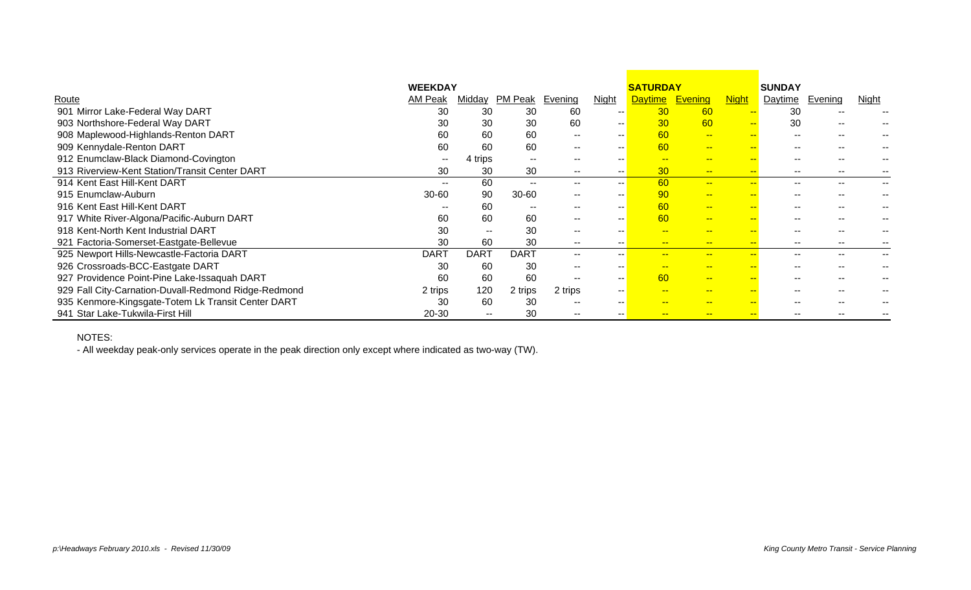|                                                      | <b>WEEKDAY</b> |             |               |         |               | <b>SATURDAY</b> |                |                          | <b>SUNDAY</b>  |               |       |
|------------------------------------------------------|----------------|-------------|---------------|---------|---------------|-----------------|----------------|--------------------------|----------------|---------------|-------|
| Route                                                | AM Peak        | Midday      | PM Peak       | Evening | <b>Night</b>  | <b>Daytime</b>  | <b>Evening</b> | <u>Night</u>             | <u>Daytime</u> | Evening       | Night |
| 901 Mirror Lake-Federal Way DART                     | 30             | 30          | 30            | 60      | $- -$         | 30              | 60             | $- -$                    | 30             | --            |       |
| 903 Northshore-Federal Way DART                      | 30             | 30          | 30            | 60      | $\sim$ $\sim$ | 30              | 60             | $-$                      | 30             | $\sim$ $\sim$ |       |
| 908 Maplewood-Highlands-Renton DART                  | 60             | 60          | 60            | $- -$   | $\sim$ $\sim$ | 60              | $- -$          | $-$                      | $\sim$ $\sim$  | $\sim$ $\sim$ |       |
| 909 Kennydale-Renton DART                            | 60             | 60          | 60            | $- -$   | $- -$         | 60              | $- -$          | <b></b>                  | $- -$          | $- -$         |       |
| 912 Enumclaw-Black Diamond-Covington                 | $- -$          | 4 trips     | $\sim$ $\sim$ | --      |               |                 | $- -$          | --                       | $- -$          | $- -$         |       |
| 913 Riverview-Kent Station/Transit Center DART       | 30             | 30          | 30            | $- -$   | $- -$         | 30              | $-$            | $\overline{\phantom{a}}$ | $- -$          | $- -$         |       |
| 914 Kent East Hill-Kent DART                         | $- -$          | 60          | $- -$         | --      | $\sim$        | 60              | $-$            | --                       | $- -$          | $\sim$ $\sim$ |       |
| 915 Enumclaw-Auburn                                  | $30 - 60$      | 90          | $30 - 60$     | $\sim$  | $-$           | 90              | $- -$          | <b></b>                  | $- -$          | $\sim$ $\sim$ |       |
| 916 Kent East Hill-Kent DART                         |                | 60          | $- -$         |         |               | 60              | $- -$          | --                       | --             |               |       |
| 917 White River-Algona/Pacific-Auburn DART           | 60             | 60          | 60            |         |               | 60              | $-$            | <b></b>                  | --             |               |       |
| 918 Kent-North Kent Industrial DART                  | 30             | $- -$       | 30            |         |               |                 | $-$            | --                       | --             |               |       |
| 921 Factoria-Somerset-Eastgate-Bellevue              | 30             | 60          | 30            |         |               | $-$             | $- -$          | $-$                      | $- -$          |               |       |
| 925 Newport Hills-Newcastle-Factoria DART            | <b>DART</b>    | <b>DART</b> | <b>DART</b>   | $- -$   |               | <b>FRAME</b>    | $- -$          | н.                       | $- -$          | $- -$         |       |
| 926 Crossroads-BCC-Eastgate DART                     | 30             | 60          | 30            |         | $- -$         |                 | --             |                          | --             |               |       |
| 927 Providence Point-Pine Lake-Issaquah DART         | 60             | 60          | 60            |         |               | 60              | $- -$          | н.                       |                |               |       |
| 929 Fall City-Carnation-Duvall-Redmond Ridge-Redmond | 2 trips        | 120         | 2 trips       | 2 trips | $- -$         |                 | $-$            | --                       | $- -$          | --            |       |
| 935 Kenmore-Kingsgate-Totem Lk Transit Center DART   | 30             | 60          | 30            |         |               |                 |                | <b>.</b>                 | --             |               |       |
| 941 Star Lake-Tukwila-First Hill                     | 20-30          | --          | 30            |         |               |                 | $- -$          |                          |                |               |       |

#### NOTES:

- All weekday peak-only services operate in the peak direction only except where indicated as two-way (TW).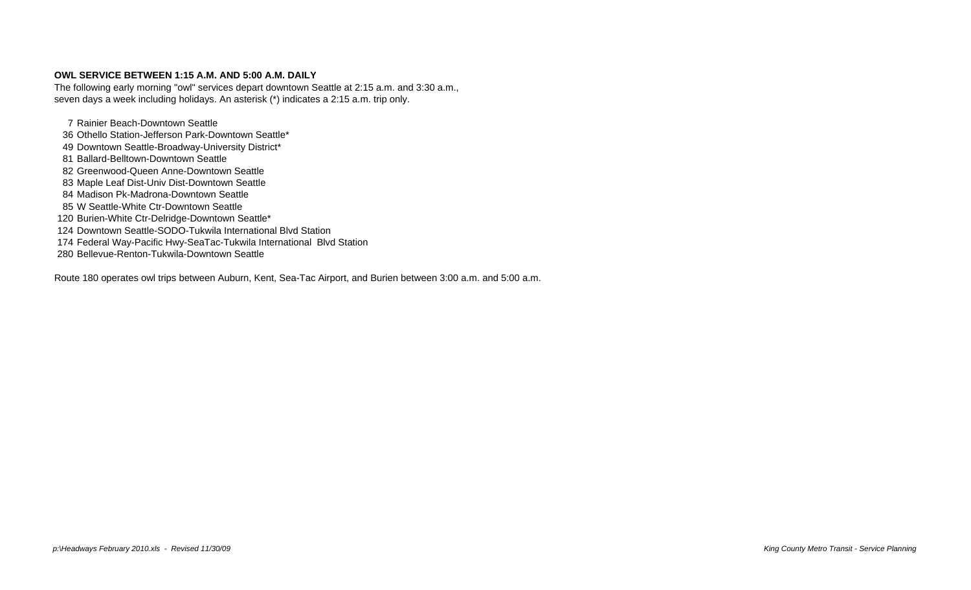#### **OWL SERVICE BETWEEN 1:15 A.M. AND 5:00 A.M. DAILY**

The following early morning "owl" services depart downtown Seattle at 2:15 a.m. and 3:30 a.m., seven days a week including holidays. An asterisk (\*) indicates a 2:15 a.m. trip only.

 Rainier Beach-Downtown Seattle Othello Station-Jefferson Park-Downtown Seattle\* 49 Downtown Seattle-Broadway-University District\*

- Ballard-Belltown-Downtown Seattle
- Greenwood-Queen Anne-Downtown Seattle
- Maple Leaf Dist-Univ Dist-Downtown Seattle
- Madison Pk-Madrona-Downtown Seattle
- W Seattle-White Ctr-Downtown Seattle
- Burien-White Ctr-Delridge-Downtown Seattle\*
- Downtown Seattle-SODO-Tukwila International Blvd Station
- Federal Way-Pacific Hwy-SeaTac-Tukwila International Blvd Station
- Bellevue-Renton-Tukwila-Downtown Seattle

Route 180 operates owl trips between Auburn, Kent, Sea-Tac Airport, and Burien between 3:00 a.m. and 5:00 a.m.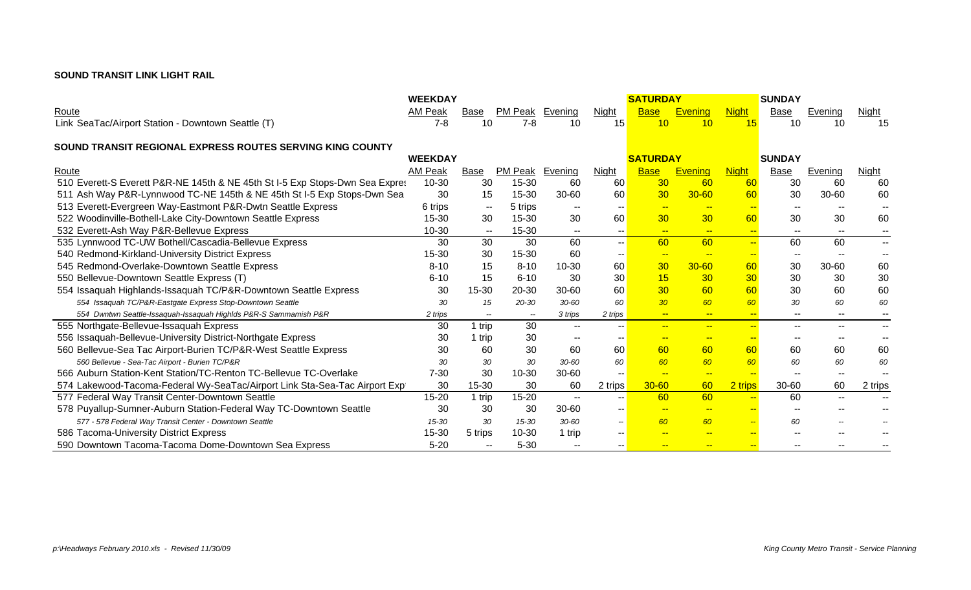### **SOUND TRANSIT LINK LIGHT RAIL**

|                                                                              | <b>WEEKDAY</b> |                          |                        |                          |                          | <b>SATURDAY</b> |                 |                              | <b>SUNDAY</b>            |                          |                          |
|------------------------------------------------------------------------------|----------------|--------------------------|------------------------|--------------------------|--------------------------|-----------------|-----------------|------------------------------|--------------------------|--------------------------|--------------------------|
| Route                                                                        | AM Peak        | Base                     | <b>PM Peak</b> Evening |                          | <b>Night</b>             | <b>Base</b>     | <b>Evening</b>  | <b>Night</b>                 | <b>Base</b>              | Evening                  | <b>Night</b>             |
| Link SeaTac/Airport Station - Downtown Seattle (T)                           | $7 - 8$        | 10                       | $7 - 8$                | 10                       | 15                       | 10              | 10              | 15                           | 10                       | 10                       | 15                       |
|                                                                              |                |                          |                        |                          |                          |                 |                 |                              |                          |                          |                          |
| SOUND TRANSIT REGIONAL EXPRESS ROUTES SERVING KING COUNTY                    | <b>WEEKDAY</b> |                          |                        |                          |                          | <b>SATURDAY</b> |                 |                              | <b>SUNDAY</b>            |                          |                          |
| Route                                                                        | AM Peak        | Base                     | PM Peak Evening        |                          | Night                    | <b>Base</b>     | <b>Evening</b>  | <b>Night</b>                 | Base                     | Evening                  | Night                    |
| 510 Everett-S Everett P&R-NE 145th & NE 45th St I-5 Exp Stops-Dwn Sea Expres | 10-30          | 30                       | 15-30                  | 60                       | 60                       | 30              | 60              | 60                           | 30                       | 60                       | 60                       |
| 511 Ash Way P&R-Lynnwood TC-NE 145th & NE 45th St I-5 Exp Stops-Dwn Sea      | 30             | 15                       | 15-30                  | $30 - 60$                | 60                       | 30              | $30 - 60$       | 60                           | 30                       | 30-60                    | 60                       |
| 513 Everett-Evergreen Way-Eastmont P&R-Dwtn Seattle Express                  | 6 trips        | $\sim$ $\sim$            | 5 trips                |                          | $\overline{\phantom{a}}$ | $-$             | $- -$           | $-$                          | $\overline{\phantom{a}}$ |                          |                          |
| 522 Woodinville-Bothell-Lake City-Downtown Seattle Express                   | 15-30          | 30                       | 15-30                  | 30                       | 60                       | 30              | 30 <sub>o</sub> | 60                           | 30                       | 30                       | 60                       |
| 532 Everett-Ash Way P&R-Bellevue Express                                     | 10-30          | $\overline{\phantom{a}}$ | 15-30                  |                          | $\overline{\phantom{m}}$ | $\rightarrow$   | $-$             | $\leftarrow$                 | $- -$                    | $- -$                    | $\sim$                   |
| 535 Lynnwood TC-UW Bothell/Cascadia-Bellevue Express                         | 30             | 30                       | 30                     | 60                       | $\sim$ $\sim$            | 60              | 60              | $\left  \frac{1}{2} \right $ | 60                       | 60                       | $- -$                    |
| 540 Redmond-Kirkland-University District Express                             | 15-30          | 30                       | 15-30                  | 60                       | $\overline{\phantom{a}}$ | $- -$           | $-$             | $-$                          | $\overline{\phantom{a}}$ | $- -$                    | $\overline{\phantom{a}}$ |
| 545 Redmond-Overlake-Downtown Seattle Express                                | $8 - 10$       | 15                       | $8 - 10$               | 10-30                    | 60                       | 30              | $30 - 60$       | 60                           | 30                       | 30-60                    | 60                       |
| 550 Bellevue-Downtown Seattle Express (T)                                    | $6 - 10$       | 15                       | $6 - 10$               | 30                       | 30                       | 15              | 30 <sup>°</sup> | 30                           | 30                       | 30                       | 30                       |
| 554 Issaquah Highlands-Issaquah TC/P&R-Downtown Seattle Express              | 30             | 15-30                    | $20 - 30$              | $30 - 60$                | 60                       | 30              | 60              | 60                           | 30                       | 60                       | 60                       |
| 554 Issaquah TC/P&R-Eastgate Express Stop-Downtown Seattle                   | 30             | 15                       | 20-30                  | $30 - 60$                | 60                       | 30 <sup>°</sup> | 60              | 60                           | 30                       | 60                       | 60                       |
| 554 Dwntwn Seattle-Issaquah-Issaquah Highlds P&R-S Sammamish P&R             | 2 trips        | $\overline{\phantom{a}}$ | $\sim$                 | 3 trips                  | 2 trips                  | $-$             | $\sim$          | $-$                          | $- -$                    | $\qquad \qquad -$        | --                       |
| 555 Northgate-Bellevue-Issaquah Express                                      | 30             | 1 trip                   | 30                     | $\overline{\phantom{a}}$ |                          | $\frac{1}{2}$   | $-$             | $\rightarrow$                | $\overline{\phantom{a}}$ | $- -$                    | $\overline{\phantom{a}}$ |
| 556 Issaquah-Bellevue-University District-Northgate Express                  | 30             | 1 trip                   | 30                     | $\sim$                   | $\overline{\phantom{a}}$ | $-$             | <u>нн</u>       | $-$                          | $-$                      |                          |                          |
| 560 Bellevue-Sea Tac Airport-Burien TC/P&R-West Seattle Express              | 30             | 60                       | 30                     | 60                       | 60                       | 60              | 60              | 60                           | 60                       | 60                       | 60                       |
| 560 Bellevue - Sea-Tac Airport - Burien TC/P&R                               | 30             | 30                       | 30                     | $30 - 60$                | 60                       | 60              | 60              | 60                           | 60                       | 60                       | 60                       |
| 566 Auburn Station-Kent Station/TC-Renton TC-Bellevue TC-Overlake            | $7 - 30$       | 30                       | $10 - 30$              | 30-60                    | $\sim$ $\sim$            | $-$             | $\rightarrow$   | $-$                          | $\overline{\phantom{a}}$ | $\overline{\phantom{a}}$ |                          |
| 574 Lakewood-Tacoma-Federal Wy-SeaTac/Airport Link Sta-Sea-Tac Airport Exp'  | 30             | 15-30                    | 30                     | 60                       | 2 trips                  | $30 - 60$       | 60              | 2 trips                      | 30-60                    | 60                       | 2 trips                  |
| 577 Federal Way Transit Center-Downtown Seattle                              | $15 - 20$      | 1 trip                   | $15 - 20$              | $\overline{\phantom{a}}$ | $\overline{\phantom{a}}$ | 60              | 60              | $\rightarrow$                | 60                       | $\overline{\phantom{a}}$ |                          |
| 578 Puyallup-Sumner-Auburn Station-Federal Way TC-Downtown Seattle           | 30             | 30                       | 30                     | 30-60                    | $\overline{\phantom{a}}$ | $- -$           | $\rightarrow$   | $\sim$                       | $\overline{a}$           |                          |                          |
| 577 - 578 Federal Way Transit Center - Downtown Seattle                      | 15-30          | 30                       | 15-30                  | $30 - 60$                | $\overline{\phantom{a}}$ | 60              | 60              | $\rightarrow$                | 60                       | $-$                      |                          |
| 586 Tacoma-University District Express                                       | 15-30          | 5 trips                  | $10 - 30$              | 1 trip                   | $- -$                    | $-$             | $-$             | $-$                          | $\overline{a}$           |                          |                          |
| 590 Downtown Tacoma-Tacoma Dome-Downtown Sea Express                         | $5 - 20$       | $-1$                     | $5 - 30$               |                          |                          | $\rightarrow$   | <u></u>         | <u></u>                      |                          |                          |                          |